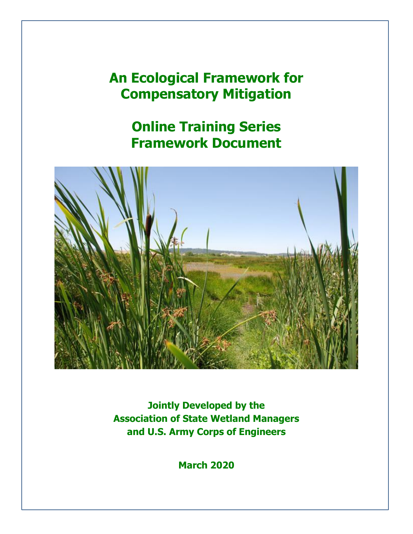# **An Ecological Framework for Compensatory Mitigation**

**Online Training Series Framework Document**



**Jointly Developed by the Association of State Wetland Managers and U.S. Army Corps of Engineers**

**March 2020**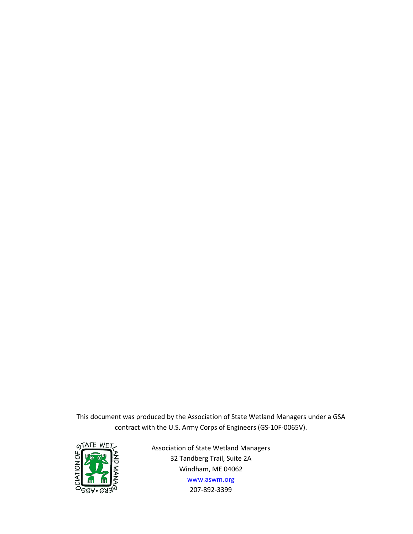This document was produced by the Association of State Wetland Managers under a GSA contract with the U.S. Army Corps of Engineers (GS-10F-0065V).



Association of State Wetland Managers 32 Tandberg Trail, Suite 2A Windham, ME 04062 [www.aswm.org](http://www.aswm.org/) 207-892-3399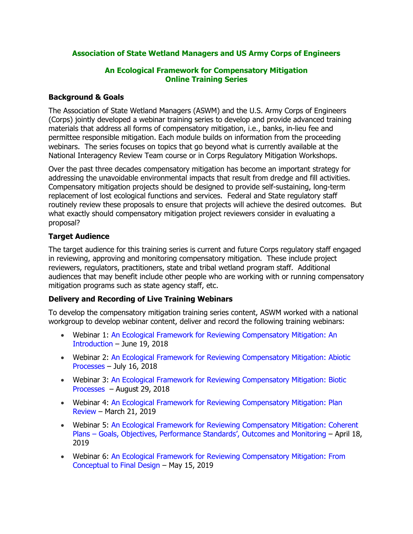#### **Association of State Wetland Managers and US Army Corps of Engineers**

#### **An Ecological Framework for Compensatory Mitigation Online Training Series**

#### **Background & Goals**

The Association of State Wetland Managers (ASWM) and the U.S. Army Corps of Engineers (Corps) jointly developed a webinar training series to develop and provide advanced training materials that address all forms of compensatory mitigation, i.e., banks, in-lieu fee and permittee responsible mitigation. Each module builds on information from the proceeding webinars. The series focuses on topics that go beyond what is currently available at the National Interagency Review Team course or in Corps Regulatory Mitigation Workshops.

Over the past three decades compensatory mitigation has become an important strategy for addressing the unavoidable environmental impacts that result from dredge and fill activities. Compensatory mitigation projects should be designed to provide self-sustaining, long-term replacement of lost ecological functions and services. Federal and State regulatory staff routinely review these proposals to ensure that projects will achieve the desired outcomes. But what exactly should compensatory mitigation project reviewers consider in evaluating a proposal?

#### **Target Audience**

The target audience for this training series is current and future Corps regulatory staff engaged in reviewing, approving and monitoring compensatory mitigation. These include project reviewers, regulators, practitioners, state and tribal wetland program staff. Additional audiences that may benefit include other people who are working with or running compensatory mitigation programs such as state agency staff, etc.

#### **Delivery and Recording of Live Training Webinars**

To develop the compensatory mitigation training series content, ASWM worked with a national workgroup to develop webinar content, deliver and record the following training webinars:

- Webinar 1: [An Ecological Framework for Reviewing Compensatory Mitigation: An](https://www.aswm.org/webinars-trainings/9779-2018-past-compensatory-mitigation-webinar-series#ecologicalframework061918)  [Introduction](https://www.aswm.org/webinars-trainings/9779-2018-past-compensatory-mitigation-webinar-series#ecologicalframework061918) – June 19, 2018
- Webinar 2: [An Ecological Framework for Reviewing Compensatory Mitigation: Abiotic](https://www.aswm.org/webinars-trainings/9779-2018-past-compensatory-mitigation-webinar-series#mitigation071618)  [Processes](https://www.aswm.org/webinars-trainings/9779-2018-past-compensatory-mitigation-webinar-series#mitigation071618) – July 16, 2018
- Webinar 3: [An Ecological Framework for Reviewing Compensatory Mitigation: Biotic](https://www.aswm.org/webinars-trainings/9779-2018-past-compensatory-mitigation-webinar-series#biotic082918)  [Processes](https://www.aswm.org/webinars-trainings/9779-2018-past-compensatory-mitigation-webinar-series#biotic082918) – August 29, 2018
- Webinar 4: [An Ecological Framework for Reviewing Compensatory Mitigation: Plan](https://www.aswm.org/aswm/aswm-webinarscalls/6776-2019-past-compensatory-mitigation-webinar-series#plan032119)  [Review](https://www.aswm.org/aswm/aswm-webinarscalls/6776-2019-past-compensatory-mitigation-webinar-series#plan032119) – March 21, 2019
- Webinar 5: [An Ecological Framework for Reviewing Compensatory Mitigation: Coherent](https://www.aswm.org/aswm/aswm-webinarscalls/6776-2019-past-compensatory-mitigation-webinar-series#mitigationapril2019)  Plans – [Goals, Objectives, Performance Standards](https://www.aswm.org/aswm/aswm-webinarscalls/6776-2019-past-compensatory-mitigation-webinar-series#mitigationapril2019)', Outcomes and Monitoring – April 18, 2019
- Webinar 6: [An Ecological Framework for Reviewing Compensatory Mitigation: From](https://www.aswm.org/aswm/aswm-webinarscalls/6776-2019-past-compensatory-mitigation-webinar-series#webinar051519)  [Conceptual to Final Design](https://www.aswm.org/aswm/aswm-webinarscalls/6776-2019-past-compensatory-mitigation-webinar-series#webinar051519) – May 15, 2019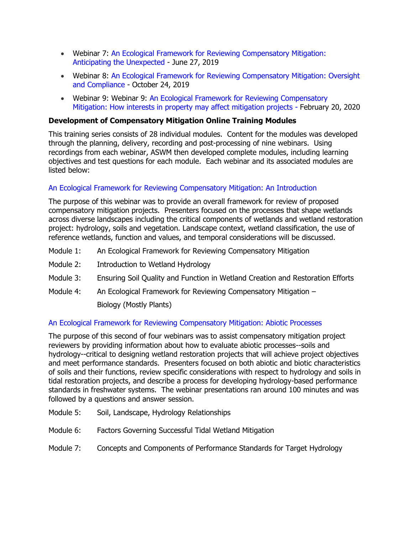- Webinar 7: [An Ecological Framework for Reviewing Compensatory Mitigation:](https://www.aswm.org/aswm/aswm-webinarscalls/6776-2019-past-compensatory-mitigation-webinar-series#webinar062719)  [Anticipating the Unexpected](https://www.aswm.org/aswm/aswm-webinarscalls/6776-2019-past-compensatory-mitigation-webinar-series#webinar062719) - June 27, 2019
- Webinar 8: [An Ecological Framework for Reviewing Compensatory Mitigation: Oversight](https://www.aswm.org/aswm/aswm-webinarscalls/6776-2019-past-compensatory-mitigation-webinar-series#mitigation1024)  [and Compliance](https://www.aswm.org/aswm/aswm-webinarscalls/6776-2019-past-compensatory-mitigation-webinar-series#mitigation1024) - October 24, 2019
- Webinar 9: Webinar 9: [An Ecological Framework for Reviewing Compensatory](https://www.aswm.org/aswm/aswm-webinarscalls/3681-2020-past-compensatory-mitigation-webinar-series#mitigation022020)  [Mitigation: How interests in property may affect mitigation projects](https://www.aswm.org/aswm/aswm-webinarscalls/3681-2020-past-compensatory-mitigation-webinar-series#mitigation022020) - February 20, 2020

#### **Development of Compensatory Mitigation Online Training Modules**

This training series consists of 28 individual modules. Content for the modules was developed through the planning, delivery, recording and post-processing of nine webinars. Using recordings from each webinar, ASWM then developed complete modules, including learning objectives and test questions for each module. Each webinar and its associated modules are listed below:

#### [An Ecological Framework for Reviewing Compensatory Mitigation: An Introduction](https://www.aswm.org/webinars-trainings/9779-2018-past-compensatory-mitigation-webinar-series#ecologicalframework061918)

The purpose of this webinar was to provide an overall framework for review of proposed compensatory mitigation projects. Presenters focused on the processes that shape wetlands across diverse landscapes including the critical components of wetlands and wetland restoration project: hydrology, soils and vegetation. Landscape context, wetland classification, the use of reference wetlands, function and values, and temporal considerations will be discussed.

- Module 1: An Ecological Framework for Reviewing Compensatory Mitigation
- Module 2: Introduction to Wetland Hydrology
- Module 3: Ensuring Soil Quality and Function in Wetland Creation and Restoration Efforts
- Module 4: An Ecological Framework for Reviewing Compensatory Mitigation Biology (Mostly Plants)

#### [An Ecological Framework for Reviewing Compensatory Mitigation: Abiotic Processes](https://www.aswm.org/webinars-trainings/9779-2018-past-compensatory-mitigation-webinar-series#mitigation071618)

The purpose of this second of four webinars was to assist compensatory mitigation project reviewers by providing information about how to evaluate abiotic processes--soils and hydrology--critical to designing wetland restoration projects that will achieve project objectives and meet performance standards. Presenters focused on both abiotic and biotic characteristics of soils and their functions, review specific considerations with respect to hydrology and soils in tidal restoration projects, and describe a process for developing hydrology-based performance standards in freshwater systems. The webinar presentations ran around 100 minutes and was followed by a questions and answer session.

- Module 5: Soil, Landscape, Hydrology Relationships
- Module 6: Factors Governing Successful Tidal Wetland Mitigation
- Module 7: Concepts and Components of Performance Standards for Target Hydrology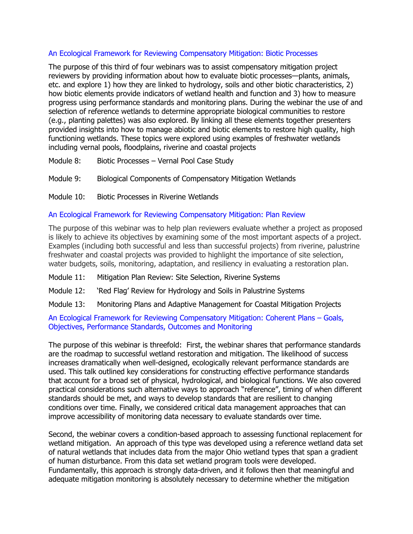#### [An Ecological Framework for Reviewing Compensatory Mitigation: Biotic Processes](https://www.aswm.org/webinars-trainings/9779-2018-past-compensatory-mitigation-webinar-series#biotic082918)

The purpose of this third of four webinars was to assist compensatory mitigation project reviewers by providing information about how to evaluate biotic processes—plants, animals, etc. and explore 1) how they are linked to hydrology, soils and other biotic characteristics, 2) how biotic elements provide indicators of wetland health and function and 3) how to measure progress using performance standards and monitoring plans. During the webinar the use of and selection of reference wetlands to determine appropriate biological communities to restore (e.g., planting palettes) was also explored. By linking all these elements together presenters provided insights into how to manage abiotic and biotic elements to restore high quality, high functioning wetlands. These topics were explored using examples of freshwater wetlands including vernal pools, floodplains, riverine and coastal projects

- Module 8: Biotic Processes Vernal Pool Case Study
- Module 9: Biological Components of Compensatory Mitigation Wetlands
- Module 10: Biotic Processes in Riverine Wetlands

#### [An Ecological Framework for Reviewing Compensatory Mitigation: Plan Review](https://www.aswm.org/aswm/aswm-webinarscalls/6776-2019-past-compensatory-mitigation-webinar-series#plan032119)

The purpose of this webinar was to help plan reviewers evaluate whether a project as proposed is likely to achieve its objectives by examining some of the most important aspects of a project. Examples (including both successful and less than successful projects) from riverine, palustrine freshwater and coastal projects was provided to highlight the importance of site selection, water budgets, soils, monitoring, adaptation, and resiliency in evaluating a restoration plan.

- Module 11: Mitigation Plan Review: Site Selection, Riverine Systems
- Module 12: 'Red Flag' Review for Hydrology and Soils in Palustrine Systems
- Module 13: Monitoring Plans and Adaptive Management for Coastal Mitigation Projects

#### [An Ecological Framework for Reviewing Compensatory Mitigation: Coherent Plans](https://www.aswm.org/aswm/aswm-webinarscalls/6776-2019-past-compensatory-mitigation-webinar-series#mitigationapril2019) – Goals, [Objectives, Performance Standards, Outcomes and Monitoring](https://www.aswm.org/aswm/aswm-webinarscalls/6776-2019-past-compensatory-mitigation-webinar-series#mitigationapril2019)

The purpose of this webinar is threefold: First, the webinar shares that performance standards are the roadmap to successful wetland restoration and mitigation. The likelihood of success increases dramatically when well-designed, ecologically relevant performance standards are used. This talk outlined key considerations for constructing effective performance standards that account for a broad set of physical, hydrological, and biological functions. We also covered practical considerations such alternative ways to approach "reference", timing of when different standards should be met, and ways to develop standards that are resilient to changing conditions over time. Finally, we considered critical data management approaches that can improve accessibility of monitoring data necessary to evaluate standards over time.

Second, the webinar covers a condition-based approach to assessing functional replacement for wetland mitigation. An approach of this type was developed using a reference wetland data set of natural wetlands that includes data from the major Ohio wetland types that span a gradient of human disturbance. From this data set wetland program tools were developed. Fundamentally, this approach is strongly data-driven, and it follows then that meaningful and adequate mitigation monitoring is absolutely necessary to determine whether the mitigation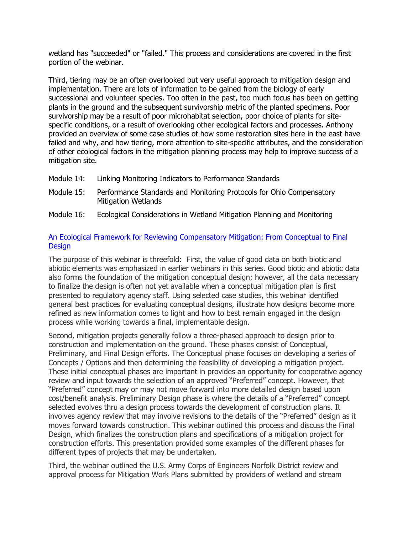wetland has "succeeded" or "failed." This process and considerations are covered in the first portion of the webinar.

Third, tiering may be an often overlooked but very useful approach to mitigation design and implementation. There are lots of information to be gained from the biology of early successional and volunteer species. Too often in the past, too much focus has been on getting plants in the ground and the subsequent survivorship metric of the planted specimens. Poor survivorship may be a result of poor microhabitat selection, poor choice of plants for sitespecific conditions, or a result of overlooking other ecological factors and processes. Anthony provided an overview of some case studies of how some restoration sites here in the east have failed and why, and how tiering, more attention to site-specific attributes, and the consideration of other ecological factors in the mitigation planning process may help to improve success of a mitigation site.

- Module 14: Linking Monitoring Indicators to Performance Standards
- Module 15: Performance Standards and Monitoring Protocols for Ohio Compensatory Mitigation Wetlands
- Module 16: Ecological Considerations in Wetland Mitigation Planning and Monitoring

#### [An Ecological Framework for Reviewing Compensatory Mitigation: From Conceptual to Final](https://www.aswm.org/aswm/aswm-webinarscalls/6776-2019-past-compensatory-mitigation-webinar-series#webinar051519)  **[Design](https://www.aswm.org/aswm/aswm-webinarscalls/6776-2019-past-compensatory-mitigation-webinar-series#webinar051519)**

The purpose of this webinar is threefold: First, the value of good data on both biotic and abiotic elements was emphasized in earlier webinars in this series. Good biotic and abiotic data also forms the foundation of the mitigation conceptual design; however, all the data necessary to finalize the design is often not yet available when a conceptual mitigation plan is first presented to regulatory agency staff. Using selected case studies, this webinar identified general best practices for evaluating conceptual designs, illustrate how designs become more refined as new information comes to light and how to best remain engaged in the design process while working towards a final, implementable design.

Second, mitigation projects generally follow a three-phased approach to design prior to construction and implementation on the ground. These phases consist of Conceptual, Preliminary, and Final Design efforts. The Conceptual phase focuses on developing a series of Concepts / Options and then determining the feasibility of developing a mitigation project. These initial conceptual phases are important in provides an opportunity for cooperative agency review and input towards the selection of an approved "Preferred" concept. However, that "Preferred" concept may or may not move forward into more detailed design based upon cost/benefit analysis. Preliminary Design phase is where the details of a "Preferred" concept selected evolves thru a design process towards the development of construction plans. It involves agency review that may involve revisions to the details of the "Preferred" design as it moves forward towards construction. This webinar outlined this process and discuss the Final Design, which finalizes the construction plans and specifications of a mitigation project for construction efforts. This presentation provided some examples of the different phases for different types of projects that may be undertaken.

Third, the webinar outlined the U.S. Army Corps of Engineers Norfolk District review and approval process for Mitigation Work Plans submitted by providers of wetland and stream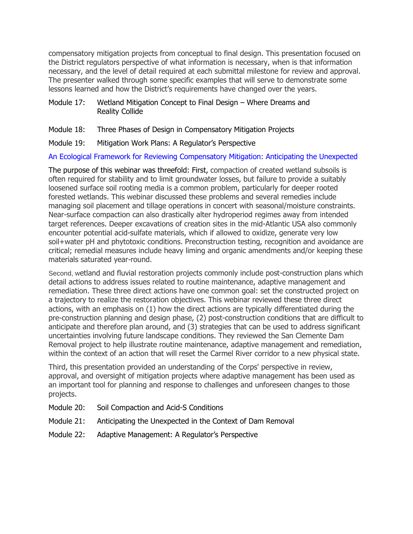compensatory mitigation projects from conceptual to final design. This presentation focused on the District regulators perspective of what information is necessary, when is that information necessary, and the level of detail required at each submittal milestone for review and approval. The presenter walked through some specific examples that will serve to demonstrate some lessons learned and how the District's requirements have changed over the years.

#### Module 17: Wetland Mitigation Concept to Final Design – Where Dreams and Reality Collide

- Module 18: Three Phases of Design in Compensatory Mitigation Projects
- Module 19: Mitigation Work Plans: A Regulator's Perspective

#### [An Ecological Framework for Reviewing Compensatory Mitigation: Anticipating the Unexpected](https://www.aswm.org/aswm/aswm-webinarscalls/6776-2019-past-compensatory-mitigation-webinar-series#webinar062719)

The purpose of this webinar was threefold: First, compaction of created wetland subsoils is often required for stability and to limit groundwater losses, but failure to provide a suitably loosened surface soil rooting media is a common problem, particularly for deeper rooted forested wetlands. This webinar discussed these problems and several remedies include managing soil placement and tillage operations in concert with seasonal/moisture constraints. Near-surface compaction can also drastically alter hydroperiod regimes away from intended target references. Deeper excavations of creation sites in the mid-Atlantic USA also commonly encounter potential acid-sulfate materials, which if allowed to oxidize, generate very low soil+water pH and phytotoxic conditions. Preconstruction testing, recognition and avoidance are critical; remedial measures include heavy liming and organic amendments and/or keeping these materials saturated year-round.

Second, wetland and fluvial restoration projects commonly include post-construction plans which detail actions to address issues related to routine maintenance, adaptive management and remediation. These three direct actions have one common goal: set the constructed project on a trajectory to realize the restoration objectives. This webinar reviewed these three direct actions, with an emphasis on (1) how the direct actions are typically differentiated during the pre-construction planning and design phase, (2) post-construction conditions that are difficult to anticipate and therefore plan around, and (3) strategies that can be used to address significant uncertainties involving future landscape conditions. They reviewed the San Clemente Dam Removal project to help illustrate routine maintenance, adaptive management and remediation, within the context of an action that will reset the Carmel River corridor to a new physical state.

Third, this presentation provided an understanding of the Corps' perspective in review, approval, and oversight of mitigation projects where adaptive management has been used as an important tool for planning and response to challenges and unforeseen changes to those projects.

- Module 20: Soil Compaction and Acid-S Conditions
- Module 21: Anticipating the Unexpected in the Context of Dam Removal
- Module 22: Adaptive Management: A Regulator's Perspective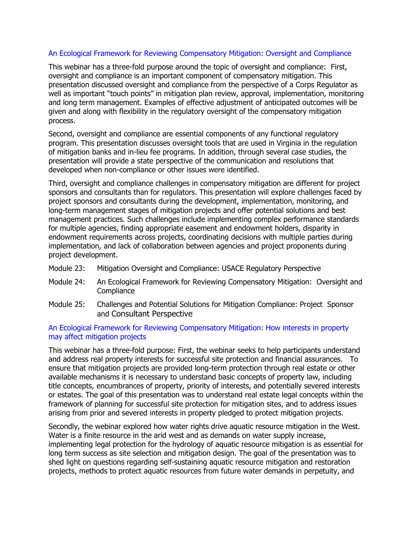#### [An Ecological Framework for Reviewing Compensatory Mitigation: Oversight and Compliance](https://www.aswm.org/aswm/aswm-webinarscalls/6776-2019-past-compensatory-mitigation-webinar-series#mitigation1024)

This webinar has a three-fold purpose around the topic of oversight and compliance: First, oversight and compliance is an important component of compensatory mitigation. This presentation discussed oversight and compliance from the perspective of a Corps Regulator as well as important "touch points" in mitigation plan review, approval, implementation, monitoring and long term management. Examples of effective adjustment of anticipated outcomes will be given and along with flexibility in the regulatory oversight of the compensatory mitigation process.

Second, oversight and compliance are essential components of any functional regulatory program. This presentation discusses oversight tools that are used in Virginia in the regulation of mitigation banks and in-lieu fee programs. In addition, through several case studies, the presentation will provide a state perspective of the communication and resolutions that developed when non-compliance or other issues were identified.

Third, oversight and compliance challenges in compensatory mitigation are different for project sponsors and consultants than for regulators. This presentation will explore challenges faced by project sponsors and consultants during the development, implementation, monitoring, and long-term management stages of mitigation projects and offer potential solutions and best management practices. Such challenges include implementing complex performance standards for multiple agencies, finding appropriate easement and endowment holders, disparity in endowment requirements across projects, coordinating decisions with multiple parties during implementation, and lack of collaboration between agencies and project proponents during project development.

- Module 23: Mitigation Oversight and Compliance: USACE Regulatory Perspective
- Module 24: An Ecological Framework for Reviewing Compensatory Mitigation: Oversight and **Compliance**
- Module 25: Challenges and Potential Solutions for Mitigation Compliance: Project Sponsor and Consultant Perspective

#### [An Ecological Framework for Reviewing Compensatory Mitigation: How interests in property](https://www.aswm.org/aswm/aswm-webinarscalls/3681-2020-past-compensatory-mitigation-webinar-series#mitigation022020)  [may affect mitigation projects](https://www.aswm.org/aswm/aswm-webinarscalls/3681-2020-past-compensatory-mitigation-webinar-series#mitigation022020)

This webinar has a three-fold purpose: First, the webinar seeks to help participants understand and address real property interests for successful site protection and financial assurances. To ensure that mitigation projects are provided long-term protection through real estate or other available mechanisms it is necessary to understand basic concepts of property law, including title concepts, encumbrances of property, priority of interests, and potentially severed interests or estates. The goal of this presentation was to understand real estate legal concepts within the framework of planning for successful site protection for mitigation sites, and to address issues arising from prior and severed interests in property pledged to protect mitigation projects.

Secondly, the webinar explored how water rights drive aquatic resource mitigation in the West. Water is a finite resource in the arid west and as demands on water supply increase, implementing legal protection for the hydrology of aquatic resource mitigation is as essential for long term success as site selection and mitigation design. The goal of the presentation was to shed light on questions regarding self-sustaining aquatic resource mitigation and restoration projects, methods to protect aquatic resources from future water demands in perpetuity, and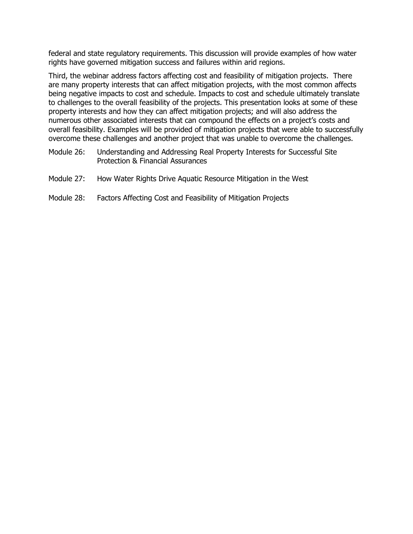federal and state regulatory requirements. This discussion will provide examples of how water rights have governed mitigation success and failures within arid regions.

Third, the webinar address factors affecting cost and feasibility of mitigation projects. There are many property interests that can affect mitigation projects, with the most common affects being negative impacts to cost and schedule. Impacts to cost and schedule ultimately translate to challenges to the overall feasibility of the projects. This presentation looks at some of these property interests and how they can affect mitigation projects; and will also address the numerous other associated interests that can compound the effects on a project's costs and overall feasibility. Examples will be provided of mitigation projects that were able to successfully overcome these challenges and another project that was unable to overcome the challenges.

- Module 26: Understanding and Addressing Real Property Interests for Successful Site Protection & Financial Assurances
- Module 27: How Water Rights Drive Aquatic Resource Mitigation in the West
- Module 28: Factors Affecting Cost and Feasibility of Mitigation Projects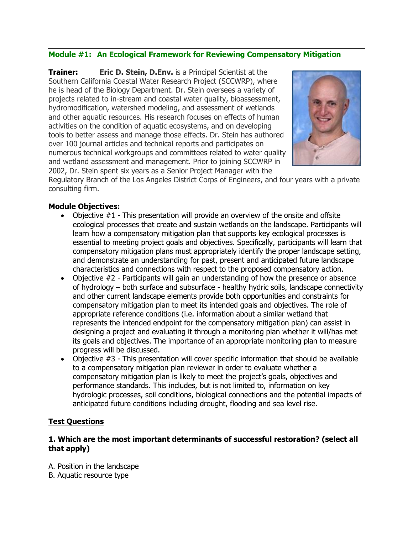#### **Module #1: An Ecological Framework for Reviewing Compensatory Mitigation**

**Trainer: Eric D. Stein, D.Env.** is a Principal Scientist at the Southern California Coastal Water Research Project (SCCWRP), where he is head of the Biology Department. Dr. Stein oversees a variety of projects related to in-stream and coastal water quality, bioassessment, hydromodification, watershed modeling, and assessment of wetlands and other aquatic resources. His research focuses on effects of human activities on the condition of aquatic ecosystems, and on developing tools to better assess and manage those effects. Dr. Stein has authored over 100 journal articles and technical reports and participates on numerous technical workgroups and committees related to water quality and wetland assessment and management. Prior to joining SCCWRP in 2002, Dr. Stein spent six years as a Senior Project Manager with the



Regulatory Branch of the Los Angeles District Corps of Engineers, and four years with a private consulting firm.

#### **Module Objectives:**

- Objective #1 This presentation will provide an overview of the onsite and offsite ecological processes that create and sustain wetlands on the landscape. Participants will learn how a compensatory mitigation plan that supports key ecological processes is essential to meeting project goals and objectives. Specifically, participants will learn that compensatory mitigation plans must appropriately identify the proper landscape setting, and demonstrate an understanding for past, present and anticipated future landscape characteristics and connections with respect to the proposed compensatory action.
- Objective #2 Participants will gain an understanding of how the presence or absence of hydrology – both surface and subsurface - healthy hydric soils, landscape connectivity and other current landscape elements provide both opportunities and constraints for compensatory mitigation plan to meet its intended goals and objectives. The role of appropriate reference conditions (i.e. information about a similar wetland that represents the intended endpoint for the compensatory mitigation plan) can assist in designing a project and evaluating it through a monitoring plan whether it will/has met its goals and objectives. The importance of an appropriate monitoring plan to measure progress will be discussed.
- Objective #3 This presentation will cover specific information that should be available to a compensatory mitigation plan reviewer in order to evaluate whether a compensatory mitigation plan is likely to meet the project's goals, objectives and performance standards. This includes, but is not limited to, information on key hydrologic processes, soil conditions, biological connections and the potential impacts of anticipated future conditions including drought, flooding and sea level rise.

#### **Test Questions**

#### **1. Which are the most important determinants of successful restoration? (select all that apply)**

- A. Position in the landscape
- B. Aquatic resource type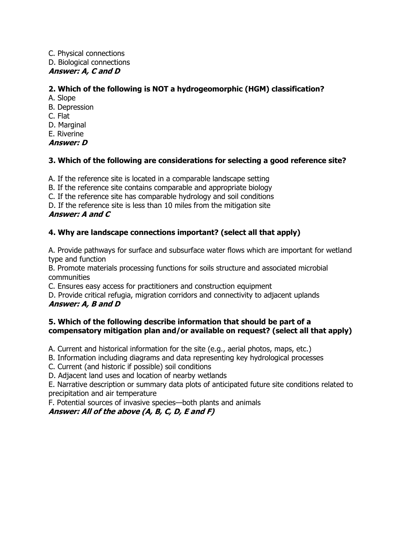C. Physical connections D. Biological connections **Answer: A, C and D**

### **2. Which of the following is NOT a hydrogeomorphic (HGM) classification?**

- A. Slope
- B. Depression
- C. Flat
- D. Marginal
- E. Riverine

**Answer: D**

#### **3. Which of the following are considerations for selecting a good reference site?**

A. If the reference site is located in a comparable landscape setting

B. If the reference site contains comparable and appropriate biology

C. If the reference site has comparable hydrology and soil conditions

D. If the reference site is less than 10 miles from the mitigation site

### **Answer: A and C**

### **4. Why are landscape connections important? (select all that apply)**

A. Provide pathways for surface and subsurface water flows which are important for wetland type and function

B. Promote materials processing functions for soils structure and associated microbial communities

C. Ensures easy access for practitioners and construction equipment

D. Provide critical refugia, migration corridors and connectivity to adjacent uplands **Answer: A, B and D**

#### **5. Which of the following describe information that should be part of a compensatory mitigation plan and/or available on request? (select all that apply)**

A. Current and historical information for the site (e.g., aerial photos, maps, etc.)

B. Information including diagrams and data representing key hydrological processes

C. Current (and historic if possible) soil conditions

D. Adjacent land uses and location of nearby wetlands

E. Narrative description or summary data plots of anticipated future site conditions related to precipitation and air temperature

F. Potential sources of invasive species—both plants and animals

**Answer: All of the above (A, B, C, D, E and F)**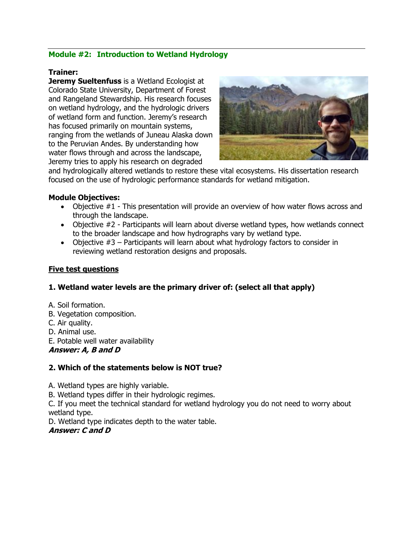### **Module #2: Introduction to Wetland Hydrology**

#### **Trainer:**

**Jeremy Sueltenfuss** is a Wetland Ecologist at Colorado State University, Department of Forest and Rangeland Stewardship. His research focuses on wetland hydrology, and the hydrologic drivers of wetland form and function. Jeremy's research has focused primarily on mountain systems, ranging from the wetlands of Juneau Alaska down to the Peruvian Andes. By understanding how water flows through and across the landscape, Jeremy tries to apply his research on degraded



and hydrologically altered wetlands to restore these vital ecosystems. His dissertation research focused on the use of hydrologic performance standards for wetland mitigation.

#### **Module Objectives:**

- Objective #1 This presentation will provide an overview of how water flows across and through the landscape.
- Objective #2 Participants will learn about diverse wetland types, how wetlands connect to the broader landscape and how hydrographs vary by wetland type.
- Objective #3 Participants will learn about what hydrology factors to consider in reviewing wetland restoration designs and proposals.

#### **Five test questions**

#### **1. Wetland water levels are the primary driver of: (select all that apply)**

- A. Soil formation.
- B. Vegetation composition.
- C. Air quality.
- D. Animal use.
- E. Potable well water availability

#### **Answer: A, B and D**

#### **2. Which of the statements below is NOT true?**

A. Wetland types are highly variable.

B. Wetland types differ in their hydrologic regimes.

C. If you meet the technical standard for wetland hydrology you do not need to worry about wetland type.

D. Wetland type indicates depth to the water table.

#### **Answer: C and D**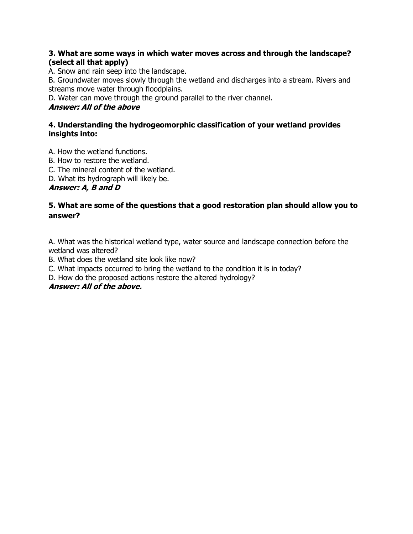#### **3. What are some ways in which water moves across and through the landscape? (select all that apply)**

A. Snow and rain seep into the landscape.

B. Groundwater moves slowly through the wetland and discharges into a stream. Rivers and streams move water through floodplains.

D. Water can move through the ground parallel to the river channel.

### **Answer: All of the above**

#### **4. Understanding the hydrogeomorphic classification of your wetland provides insights into:**

A. How the wetland functions.

- B. How to restore the wetland.
- C. The mineral content of the wetland.
- D. What its hydrograph will likely be.

### **Answer: A, B and D**

### **5. What are some of the questions that a good restoration plan should allow you to answer?**

A. What was the historical wetland type, water source and landscape connection before the wetland was altered?

B. What does the wetland site look like now?

C. What impacts occurred to bring the wetland to the condition it is in today?

D. How do the proposed actions restore the altered hydrology?

#### **Answer: All of the above.**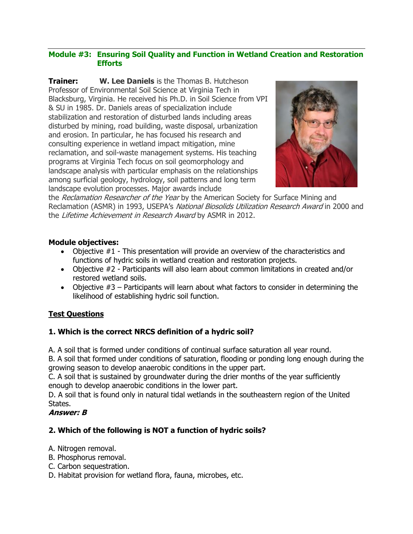#### **Module #3: Ensuring Soil Quality and Function in Wetland Creation and Restoration Efforts**

**Trainer: W. Lee Daniels** is the Thomas B. Hutcheson Professor of Environmental Soil Science at Virginia Tech in Blacksburg, Virginia. He received his Ph.D. in Soil Science from VPI & SU in 1985. Dr. Daniels areas of specialization include stabilization and restoration of disturbed lands including areas disturbed by mining, road building, waste disposal, urbanization and erosion. In particular, he has focused his research and consulting experience in wetland impact mitigation, mine reclamation, and soil-waste management systems. His teaching programs at Virginia Tech focus on soil geomorphology and landscape analysis with particular emphasis on the relationships among surficial geology, hydrology, soil patterns and long term landscape evolution processes. Major awards include



the Reclamation Researcher of the Year by the American Society for Surface Mining and Reclamation (ASMR) in 1993, USEPA's National Biosolids Utilization Research Award in 2000 and the Lifetime Achievement in Research Award by ASMR in 2012.

#### **Module objectives:**

- Objective  $#1$  This presentation will provide an overview of the characteristics and functions of hydric soils in wetland creation and restoration projects.
- Objective #2 Participants will also learn about common limitations in created and/or restored wetland soils.
- Objective  $#3$  Participants will learn about what factors to consider in determining the likelihood of establishing hydric soil function.

#### **Test Questions**

#### **1. Which is the correct NRCS definition of a hydric soil?**

A. A soil that is formed under conditions of continual surface saturation all year round.

B. A soil that formed under conditions of saturation, flooding or ponding long enough during the growing season to develop anaerobic conditions in the upper part.

C. A soil that is sustained by groundwater during the drier months of the year sufficiently enough to develop anaerobic conditions in the lower part.

D. A soil that is found only in natural tidal wetlands in the southeastern region of the United States.

#### **Answer: B**

### **2. Which of the following is NOT a function of hydric soils?**

- A. Nitrogen removal.
- B. Phosphorus removal.
- C. Carbon sequestration.
- D. Habitat provision for wetland flora, fauna, microbes, etc.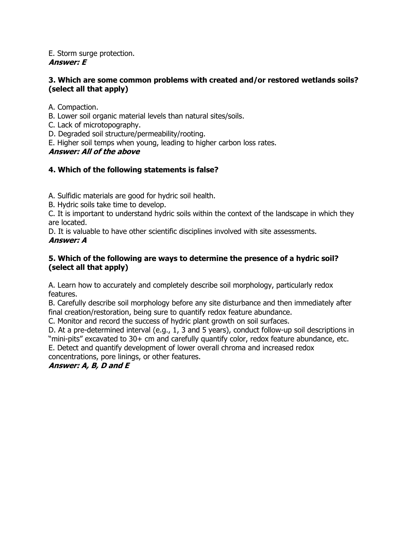#### E. Storm surge protection. **Answer: E**

#### **3. Which are some common problems with created and/or restored wetlands soils? (select all that apply)**

A. Compaction.

- B. Lower soil organic material levels than natural sites/soils.
- C. Lack of microtopography.
- D. Degraded soil structure/permeability/rooting.
- E. Higher soil temps when young, leading to higher carbon loss rates.

### **Answer: All of the above**

### **4. Which of the following statements is false?**

A. Sulfidic materials are good for hydric soil health.

B. Hydric soils take time to develop.

C. It is important to understand hydric soils within the context of the landscape in which they are located.

D. It is valuable to have other scientific disciplines involved with site assessments.

### **Answer: A**

### **5. Which of the following are ways to determine the presence of a hydric soil? (select all that apply)**

A. Learn how to accurately and completely describe soil morphology, particularly redox features.

B. Carefully describe soil morphology before any site disturbance and then immediately after final creation/restoration, being sure to quantify redox feature abundance.

C. Monitor and record the success of hydric plant growth on soil surfaces.

D. At a pre-determined interval (e.g., 1, 3 and 5 years), conduct follow-up soil descriptions in "mini-pits" excavated to 30+ cm and carefully quantify color, redox feature abundance, etc.

E. Detect and quantify development of lower overall chroma and increased redox concentrations, pore linings, or other features.

### **Answer: A, B, D and E**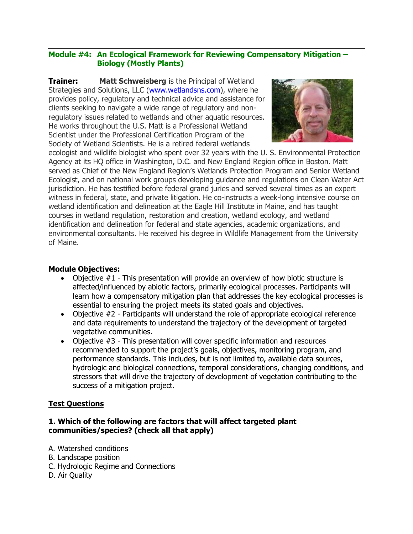#### **Module #4: An Ecological Framework for Reviewing Compensatory Mitigation – Biology (Mostly Plants)**

**Trainer: Matt Schweisberg** is the Principal of Wetland Strategies and Solutions, LLC [\(www.wetlandsns.com\)](http://www.wetlandsns.com/), where he provides policy, regulatory and technical advice and assistance for clients seeking to navigate a wide range of regulatory and nonregulatory issues related to wetlands and other aquatic resources. He works throughout the U.S. Matt is a Professional Wetland Scientist under the Professional Certification Program of the Society of Wetland Scientists. He is a retired federal wetlands



ecologist and wildlife biologist who spent over 32 years with the U. S. Environmental Protection Agency at its HQ office in Washington, D.C. and New England Region office in Boston. Matt served as Chief of the New England Region's Wetlands Protection Program and Senior Wetland Ecologist, and on national work groups developing guidance and regulations on Clean Water Act jurisdiction. He has testified before federal grand juries and served several times as an expert witness in federal, state, and private litigation. He co-instructs a week-long intensive course on wetland identification and delineation at the Eagle Hill Institute in Maine, and has taught courses in wetland regulation, restoration and creation, wetland ecology, and wetland identification and delineation for federal and state agencies, academic organizations, and environmental consultants. He received his degree in Wildlife Management from the University of Maine.

#### **Module Objectives:**

- Objective #1 This presentation will provide an overview of how biotic structure is affected/influenced by abiotic factors, primarily ecological processes. Participants will learn how a compensatory mitigation plan that addresses the key ecological processes is essential to ensuring the project meets its stated goals and objectives.
- Objective #2 Participants will understand the role of appropriate ecological reference and data requirements to understand the trajectory of the development of targeted vegetative communities.
- Objective #3 This presentation will cover specific information and resources recommended to support the project's goals, objectives, monitoring program, and performance standards. This includes, but is not limited to, available data sources, hydrologic and biological connections, temporal considerations, changing conditions, and stressors that will drive the trajectory of development of vegetation contributing to the success of a mitigation project.

#### **Test Questions**

#### **1. Which of the following are factors that will affect targeted plant communities/species? (check all that apply)**

- A. Watershed conditions
- B. Landscape position
- C. Hydrologic Regime and Connections
- D. Air Quality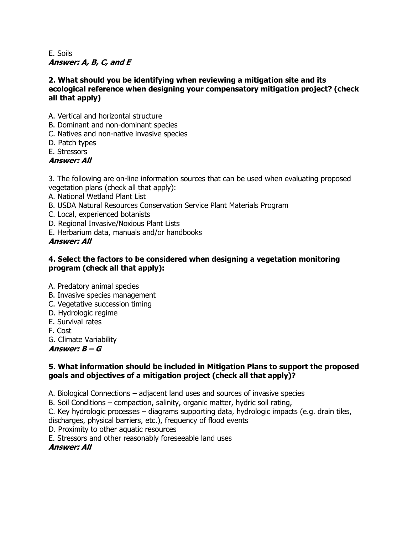#### E. Soils **Answer: A, B, C, and E**

#### **2. What should you be identifying when reviewing a mitigation site and its ecological reference when designing your compensatory mitigation project? (check all that apply)**

- A. Vertical and horizontal structure
- B. Dominant and non-dominant species
- C. Natives and non-native invasive species
- D. Patch types
- E. Stressors

### **Answer: All**

3. The following are on-line information sources that can be used when evaluating proposed vegetation plans (check all that apply):

- A. National Wetland Plant List
- B. USDA Natural Resources Conservation Service Plant Materials Program
- C. Local, experienced botanists
- D. Regional Invasive/Noxious Plant Lists
- E. Herbarium data, manuals and/or handbooks

**Answer: All**

#### **4. Select the factors to be considered when designing a vegetation monitoring program (check all that apply):**

- A. Predatory animal species
- B. Invasive species management
- C. Vegetative succession timing
- D. Hydrologic regime
- E. Survival rates
- F. Cost
- G. Climate Variability

**Answer: B – G**

#### **5. What information should be included in Mitigation Plans to support the proposed goals and objectives of a mitigation project (check all that apply)?**

A. Biological Connections – adjacent land uses and sources of invasive species

B. Soil Conditions – compaction, salinity, organic matter, hydric soil rating,

C. Key hydrologic processes – diagrams supporting data, hydrologic impacts (e.g. drain tiles,

discharges, physical barriers, etc.), frequency of flood events

D. Proximity to other aquatic resources

E. Stressors and other reasonably foreseeable land uses

**Answer: All**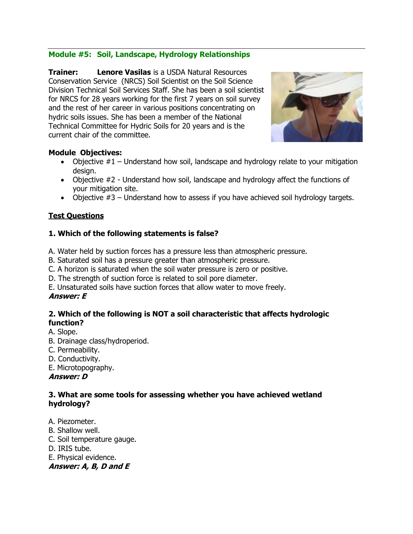### **Module #5: Soil, Landscape, Hydrology Relationships**

**Trainer: Lenore Vasilas** is a USDA Natural Resources Conservation Service (NRCS) Soil Scientist on the Soil Science Division Technical Soil Services Staff. She has been a soil scientist for NRCS for 28 years working for the first 7 years on soil survey and the rest of her career in various positions concentrating on hydric soils issues. She has been a member of the National Technical Committee for Hydric Soils for 20 years and is the current chair of the committee.



#### **Module Objectives:**

- Objective  $#1$  Understand how soil, landscape and hydrology relate to your mitigation design.
- Objective #2 Understand how soil, landscape and hydrology affect the functions of your mitigation site.
- Objective  $#3$  Understand how to assess if you have achieved soil hydrology targets.

### **Test Questions**

### **1. Which of the following statements is false?**

- A. Water held by suction forces has a pressure less than atmospheric pressure.
- B. Saturated soil has a pressure greater than atmospheric pressure.
- C. A horizon is saturated when the soil water pressure is zero or positive.
- D. The strength of suction force is related to soil pore diameter.
- E. Unsaturated soils have suction forces that allow water to move freely.

### **Answer: E**

#### **2. Which of the following is NOT a soil characteristic that affects hydrologic function?**

- A. Slope.
- B. Drainage class/hydroperiod.
- C. Permeability.
- D. Conductivity.

E. Microtopography.

#### **Answer: D**

#### **3. What are some tools for assessing whether you have achieved wetland hydrology?**

- A. Piezometer.
- B. Shallow well.
- C. Soil temperature gauge.
- D. IRIS tube.
- E. Physical evidence.

**Answer: A, B, D and E**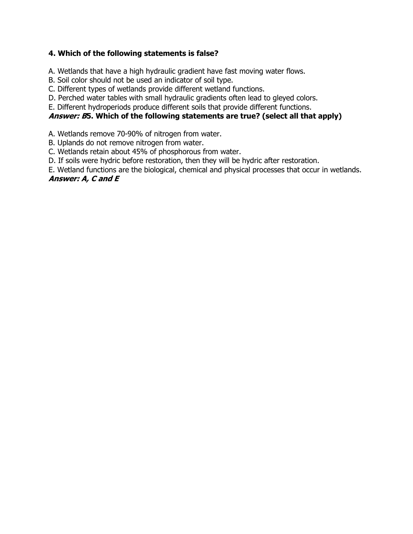### **4. Which of the following statements is false?**

A. Wetlands that have a high hydraulic gradient have fast moving water flows.

B. Soil color should not be used an indicator of soil type.

C. Different types of wetlands provide different wetland functions.

D. Perched water tables with small hydraulic gradients often lead to gleyed colors.

E. Different hydroperiods produce different soils that provide different functions.

#### **Answer: B5. Which of the following statements are true? (select all that apply)**

A. Wetlands remove 70-90% of nitrogen from water.

B. Uplands do not remove nitrogen from water.

C. Wetlands retain about 45% of phosphorous from water.

D. If soils were hydric before restoration, then they will be hydric after restoration.

E. Wetland functions are the biological, chemical and physical processes that occur in wetlands.

### **Answer: A, C and E**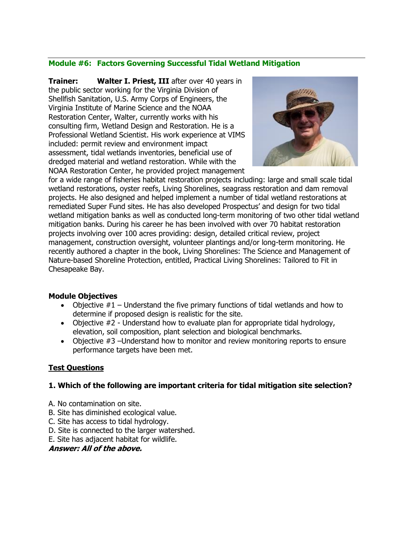#### **Module #6: Factors Governing Successful Tidal Wetland Mitigation**

**Trainer: Walter I. Priest, III** after over 40 years in the public sector working for the Virginia Division of Shellfish Sanitation, U.S. Army Corps of Engineers, the Virginia Institute of Marine Science and the NOAA Restoration Center, Walter, currently works with his consulting firm, Wetland Design and Restoration. He is a Professional Wetland Scientist. His work experience at VIMS included: permit review and environment impact assessment, tidal wetlands inventories, beneficial use of dredged material and wetland restoration. While with the NOAA Restoration Center, he provided project management



for a wide range of fisheries habitat restoration projects including: large and small scale tidal wetland restorations, oyster reefs, Living Shorelines, seagrass restoration and dam removal projects. He also designed and helped implement a number of tidal wetland restorations at remediated Super Fund sites. He has also developed Prospectus' and design for two tidal wetland mitigation banks as well as conducted long-term monitoring of two other tidal wetland mitigation banks. During his career he has been involved with over 70 habitat restoration projects involving over 100 acres providing: design, detailed critical review, project management, construction oversight, volunteer plantings and/or long-term monitoring. He recently authored a chapter in the book, Living Shorelines: The Science and Management of Nature-based Shoreline Protection, entitled, Practical Living Shorelines: Tailored to Fit in Chesapeake Bay.

#### **Module Objectives**

- Objective  $#1$  Understand the five primary functions of tidal wetlands and how to determine if proposed design is realistic for the site.
- Objective #2 Understand how to evaluate plan for appropriate tidal hydrology, elevation, soil composition, plant selection and biological benchmarks.
- Objective #3 –Understand how to monitor and review monitoring reports to ensure performance targets have been met.

### **Test Questions**

#### **1. Which of the following are important criteria for tidal mitigation site selection?**

- A. No contamination on site.
- B. Site has diminished ecological value.
- C. Site has access to tidal hydrology.
- D. Site is connected to the larger watershed.
- E. Site has adjacent habitat for wildlife.

#### **Answer: All of the above.**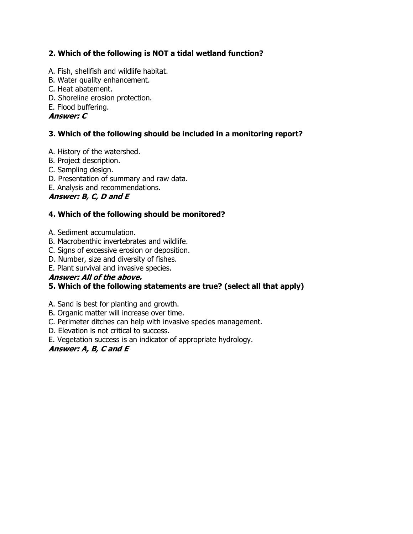### **2. Which of the following is NOT a tidal wetland function?**

- A. Fish, shellfish and wildlife habitat.
- B. Water quality enhancement.
- C. Heat abatement.
- D. Shoreline erosion protection.
- E. Flood buffering.

### **Answer: C**

### **3. Which of the following should be included in a monitoring report?**

- A. History of the watershed.
- B. Project description.
- C. Sampling design.
- D. Presentation of summary and raw data.
- E. Analysis and recommendations.

### **Answer: B, C, D and E**

### **4. Which of the following should be monitored?**

- A. Sediment accumulation.
- B. Macrobenthic invertebrates and wildlife.
- C. Signs of excessive erosion or deposition.
- D. Number, size and diversity of fishes.
- E. Plant survival and invasive species.

### **Answer: All of the above.**

### **5. Which of the following statements are true? (select all that apply)**

A. Sand is best for planting and growth.

- B. Organic matter will increase over time.
- C. Perimeter ditches can help with invasive species management.
- D. Elevation is not critical to success.
- E. Vegetation success is an indicator of appropriate hydrology.

### **Answer: A, B, C and E**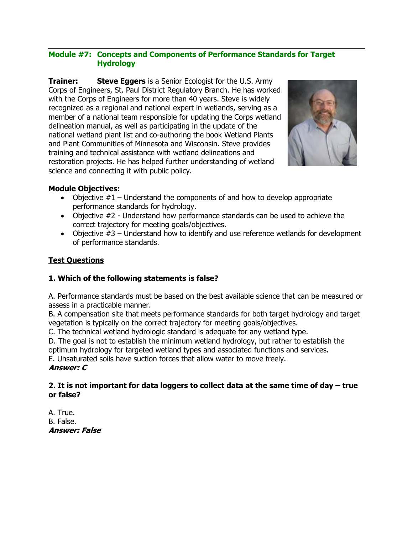#### **Module #7: Concepts and Components of Performance Standards for Target Hydrology**

**Trainer: Steve Eggers** is a Senior Ecologist for the U.S. Army Corps of Engineers, St. Paul District Regulatory Branch. He has worked with the Corps of Engineers for more than 40 years. Steve is widely recognized as a regional and national expert in wetlands, serving as a member of a national team responsible for updating the Corps wetland delineation manual, as well as participating in the update of the national wetland plant list and co-authoring the book Wetland Plants and Plant Communities of Minnesota and Wisconsin. Steve provides training and technical assistance with wetland delineations and restoration projects. He has helped further understanding of wetland science and connecting it with public policy.



#### **Module Objectives:**

- Objective  $#1$  Understand the components of and how to develop appropriate performance standards for hydrology.
- Objective #2 Understand how performance standards can be used to achieve the correct trajectory for meeting goals/objectives.
- Objective #3 Understand how to identify and use reference wetlands for development of performance standards.

### **Test Questions**

#### **1. Which of the following statements is false?**

A. Performance standards must be based on the best available science that can be measured or assess in a practicable manner.

B. A compensation site that meets performance standards for both target hydrology and target vegetation is typically on the correct trajectory for meeting goals/objectives.

C. The technical wetland hydrologic standard is adequate for any wetland type.

D. The goal is not to establish the minimum wetland hydrology, but rather to establish the optimum hydrology for targeted wetland types and associated functions and services.

E. Unsaturated soils have suction forces that allow water to move freely.

#### **Answer: C**

#### 2. It is not important for data loggers to collect data at the same time of day – true **or false?**

A. True. B. False. **Answer: False**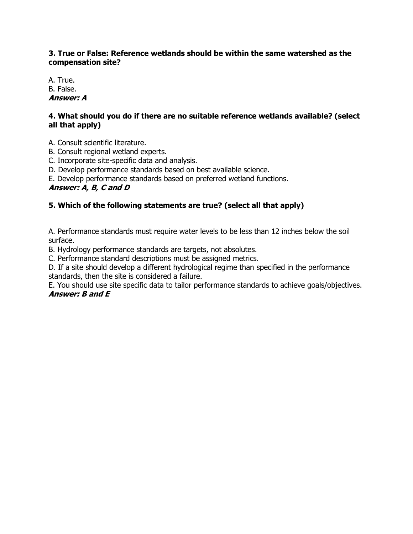#### **3. True or False: Reference wetlands should be within the same watershed as the compensation site?**

A. True. B. False. **Answer: A**

#### **4. What should you do if there are no suitable reference wetlands available? (select all that apply)**

- A. Consult scientific literature.
- B. Consult regional wetland experts.
- C. Incorporate site-specific data and analysis.
- D. Develop performance standards based on best available science.
- E. Develop performance standards based on preferred wetland functions.

#### **Answer: A, B, C and D**

### **5. Which of the following statements are true? (select all that apply)**

A. Performance standards must require water levels to be less than 12 inches below the soil surface.

B. Hydrology performance standards are targets, not absolutes.

C. Performance standard descriptions must be assigned metrics.

D. If a site should develop a different hydrological regime than specified in the performance standards, then the site is considered a failure.

E. You should use site specific data to tailor performance standards to achieve goals/objectives. **Answer: B and E**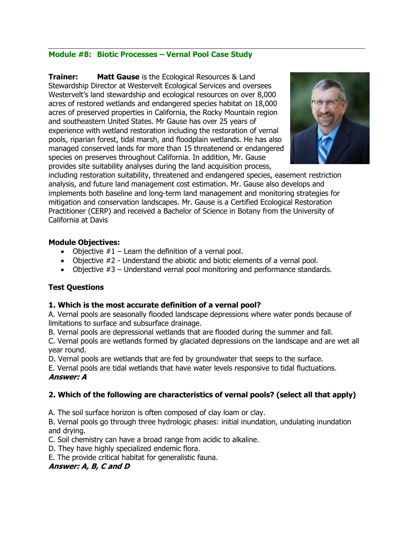#### **Module #8: Biotic Processes – Vernal Pool Case Study**

**Trainer: Matt Gause** is the Ecological Resources & Land Stewardship Director at Westervelt Ecological Services and oversees Westervelt's land stewardship and ecological resources on over 8,000 acres of restored wetlands and endangered species habitat on 18,000 acres of preserved properties in California, the Rocky Mountain region and southeastern United States. Mr Gause has over 25 years of experience with wetland restoration including the restoration of vernal pools, riparian forest, tidal marsh, and floodplain wetlands. He has also managed conserved lands for more than 15 threatenend or endangered species on preserves throughout California. In addition, Mr. Gause provides site suitability analyses during the land acquisition process,



including restoration suitability, threatened and endangered species, easement restriction analysis, and future land management cost estimation. Mr. Gause also develops and implements both baseline and long-term land management and monitoring strategies for mitigation and conservation landscapes. Mr. Gause is a Certified Ecological Restoration Practitioner (CERP) and received a Bachelor of Science in Botany from the University of California at Davis

#### **Module Objectives:**

- Objective  $#1$  Learn the definition of a vernal pool.
- Objective #2 Understand the abiotic and biotic elements of a vernal pool.
- Objective #3 Understand vernal pool monitoring and performance standards.

#### **Test Questions**

#### **1. Which is the most accurate definition of a vernal pool?**

A. Vernal pools are seasonally flooded landscape depressions where water ponds because of limitations to surface and subsurface drainage.

B. Vernal pools are depressional wetlands that are flooded during the summer and fall.

C. Vernal pools are wetlands formed by glaciated depressions on the landscape and are wet all year round.

D. Vernal pools are wetlands that are fed by groundwater that seeps to the surface.

E. Vernal pools are tidal wetlands that have water levels responsive to tidal fluctuations. **Answer: A**

#### **2. Which of the following are characteristics of vernal pools? (select all that apply)**

A. The soil surface horizon is often composed of clay loam or clay.

B. Vernal pools go through three hydrologic phases: initial inundation, undulating inundation and drying.

C. Soil chemistry can have a broad range from acidic to alkaline.

D. They have highly specialized endemic flora.

E. The provide critical habitat for generalistic fauna.

#### **Answer: A, B, C and D**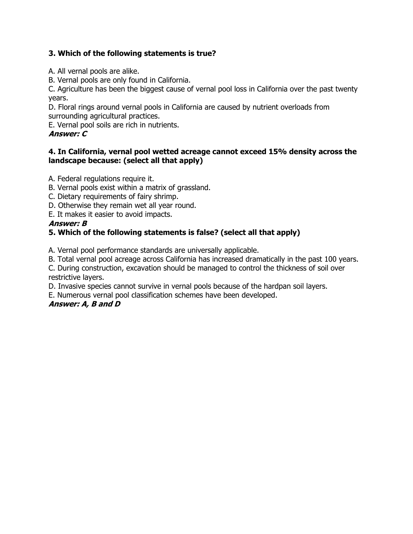### **3. Which of the following statements is true?**

- A. All vernal pools are alike.
- B. Vernal pools are only found in California.

C. Agriculture has been the biggest cause of vernal pool loss in California over the past twenty years.

D. Floral rings around vernal pools in California are caused by nutrient overloads from surrounding agricultural practices.

E. Vernal pool soils are rich in nutrients.

#### **Answer: C**

#### **4. In California, vernal pool wetted acreage cannot exceed 15% density across the landscape because: (select all that apply)**

A. Federal regulations require it.

- B. Vernal pools exist within a matrix of grassland.
- C. Dietary requirements of fairy shrimp.
- D. Otherwise they remain wet all year round.
- E. It makes it easier to avoid impacts.

#### **Answer: B**

### **5. Which of the following statements is false? (select all that apply)**

A. Vernal pool performance standards are universally applicable.

B. Total vernal pool acreage across California has increased dramatically in the past 100 years.

C. During construction, excavation should be managed to control the thickness of soil over restrictive layers.

D. Invasive species cannot survive in vernal pools because of the hardpan soil layers.

E. Numerous vernal pool classification schemes have been developed.

#### **Answer: A, B and D**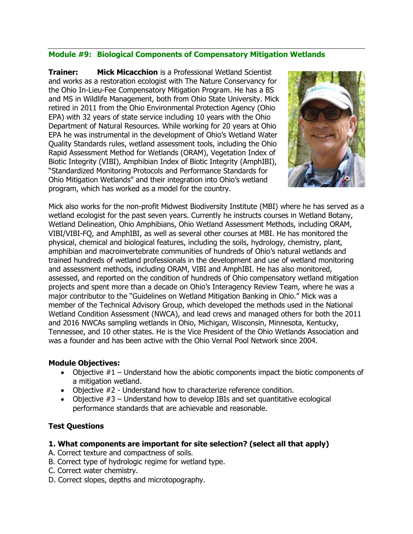### **Module #9: Biological Components of Compensatory Mitigation Wetlands**

**Trainer: Mick Micacchion** is a Professional Wetland Scientist and works as a restoration ecologist with The Nature Conservancy for the Ohio In-Lieu-Fee Compensatory Mitigation Program. He has a BS and MS in Wildlife Management, both from Ohio State University. Mick retired in 2011 from the Ohio Environmental Protection Agency (Ohio EPA) with 32 years of state service including 10 years with the Ohio Department of Natural Resources. While working for 20 years at Ohio EPA he was instrumental in the development of Ohio's Wetland Water Quality Standards rules, wetland assessment tools, including the Ohio Rapid Assessment Method for Wetlands (ORAM), Vegetation Index of Biotic Integrity (VIBI), Amphibian Index of Biotic Integrity (AmphIBI), "Standardized Monitoring Protocols and Performance Standards for Ohio Mitigation Wetlands" and their integration into Ohio's wetland program, which has worked as a model for the country.



Mick also works for the non-profit Midwest Biodiversity Institute (MBI) where he has served as a wetland ecologist for the past seven years. Currently he instructs courses in Wetland Botany, Wetland Delineation, Ohio Amphibians, Ohio Wetland Assessment Methods, including ORAM, VIBI/VIBI-FQ, and AmphIBI, as well as several other courses at MBI. He has monitored the physical, chemical and biological features, including the soils, hydrology, chemistry, plant, amphibian and macroinvertebrate communities of hundreds of Ohio's natural wetlands and trained hundreds of wetland professionals in the development and use of wetland monitoring and assessment methods, including ORAM, VIBI and AmphIBI. He has also monitored, assessed, and reported on the condition of hundreds of Ohio compensatory wetland mitigation projects and spent more than a decade on Ohio's Interagency Review Team, where he was a major contributor to the "Guidelines on Wetland Mitigation Banking in Ohio." Mick was a member of the Technical Advisory Group, which developed the methods used in the National Wetland Condition Assessment (NWCA), and lead crews and managed others for both the 2011 and 2016 NWCAs sampling wetlands in Ohio, Michigan, Wisconsin, Minnesota, Kentucky, Tennessee, and 10 other states. He is the Vice President of the Ohio Wetlands Association and was a founder and has been active with the Ohio Vernal Pool Network since 2004.

#### **Module Objectives:**

- Objective  $#1$  Understand how the abiotic components impact the biotic components of a mitigation wetland.
- Objective #2 Understand how to characterize reference condition.
- Objective  $#3$  Understand how to develop IBIs and set quantitative ecological performance standards that are achievable and reasonable.

#### **Test Questions**

#### **1. What components are important for site selection? (select all that apply)**

- A. Correct texture and compactness of soils.
- B. Correct type of hydrologic regime for wetland type.
- C. Correct water chemistry.
- D. Correct slopes, depths and microtopography.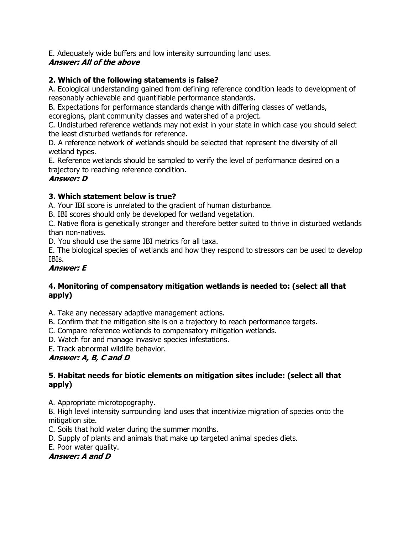E. Adequately wide buffers and low intensity surrounding land uses.

### **Answer: All of the above**

### **2. Which of the following statements is false?**

A. Ecological understanding gained from defining reference condition leads to development of reasonably achievable and quantifiable performance standards.

B. Expectations for performance standards change with differing classes of wetlands, ecoregions, plant community classes and watershed of a project.

C. Undisturbed reference wetlands may not exist in your state in which case you should select the least disturbed wetlands for reference.

D. A reference network of wetlands should be selected that represent the diversity of all wetland types.

E. Reference wetlands should be sampled to verify the level of performance desired on a trajectory to reaching reference condition.

### **Answer: D**

### **3. Which statement below is true?**

A. Your IBI score is unrelated to the gradient of human disturbance.

B. IBI scores should only be developed for wetland vegetation.

C. Native flora is genetically stronger and therefore better suited to thrive in disturbed wetlands than non-natives.

D. You should use the same IBI metrics for all taxa.

E. The biological species of wetlands and how they respond to stressors can be used to develop IBIs.

### **Answer: E**

### **4. Monitoring of compensatory mitigation wetlands is needed to: (select all that apply)**

A. Take any necessary adaptive management actions.

B. Confirm that the mitigation site is on a trajectory to reach performance targets.

C. Compare reference wetlands to compensatory mitigation wetlands.

D. Watch for and manage invasive species infestations.

E. Track abnormal wildlife behavior.

### **Answer: A, B, C and D**

### **5. Habitat needs for biotic elements on mitigation sites include: (select all that apply)**

A. Appropriate microtopography.

B. High level intensity surrounding land uses that incentivize migration of species onto the mitigation site.

C. Soils that hold water during the summer months.

D. Supply of plants and animals that make up targeted animal species diets.

E. Poor water quality.

### **Answer: A and D**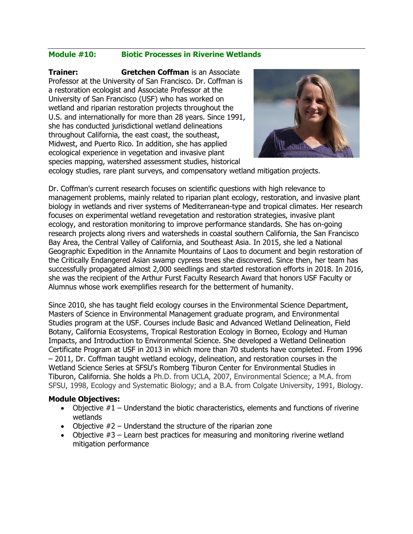#### **Module #10: Biotic Processes in Riverine Wetlands**

**Trainer: Gretchen Coffman** is an Associate Professor at the University of San Francisco. Dr. Coffman is a restoration ecologist and Associate Professor at the University of San Francisco (USF) who has worked on wetland and riparian restoration projects throughout the U.S. and internationally for more than 28 years. Since 1991, she has conducted jurisdictional wetland delineations throughout California, the east coast, the southeast, Midwest, and Puerto Rico. In addition, she has applied ecological experience in vegetation and invasive plant species mapping, watershed assessment studies, historical



ecology studies, rare plant surveys, and compensatory wetland mitigation projects.

Dr. Coffman's current research focuses on scientific questions with high relevance to management problems, mainly related to riparian plant ecology, restoration, and invasive plant biology in wetlands and river systems of Mediterranean-type and tropical climates. Her research focuses on experimental wetland revegetation and restoration strategies, invasive plant ecology, and restoration monitoring to improve performance standards. She has on-going research projects along rivers and watersheds in coastal southern California, the San Francisco Bay Area, the Central Valley of California, and Southeast Asia. In 2015, she led a National Geographic Expedition in the Annamite Mountains of Laos to document and begin restoration of the Critically Endangered Asian swamp cypress trees she discovered. Since then, her team has successfully propagated almost 2,000 seedlings and started restoration efforts in 2018. In 2016, she was the recipient of the Arthur Furst Faculty Research Award that honors USF Faculty or Alumnus whose work exemplifies research for the betterment of humanity.

Since 2010, she has taught field ecology courses in the Environmental Science Department, Masters of Science in Environmental Management graduate program, and Environmental Studies program at the USF. Courses include Basic and Advanced Wetland Delineation, Field Botany, California Ecosystems, Tropical Restoration Ecology in Borneo, Ecology and Human Impacts, and Introduction to Environmental Science. She developed a Wetland Delineation Certificate Program at USF in 2013 in which more than 70 students have completed. From 1996 – 2011, Dr. Coffman taught wetland ecology, delineation, and restoration courses in the Wetland Science Series at SFSU's Romberg Tiburon Center for Environmental Studies in Tiburon, California. She holds a Ph.D. from UCLA, 2007, Environmental Science; a M.A. from SFSU, 1998, Ecology and Systematic Biology; and a B.A. from Colgate University, 1991, Biology.

#### **Module Objectives:**

- Objective  $#1$  Understand the biotic characteristics, elements and functions of riverine wetlands
- Objective  $#2$  Understand the structure of the riparian zone
- Objective  $#3$  Learn best practices for measuring and monitoring riverine wetland mitigation performance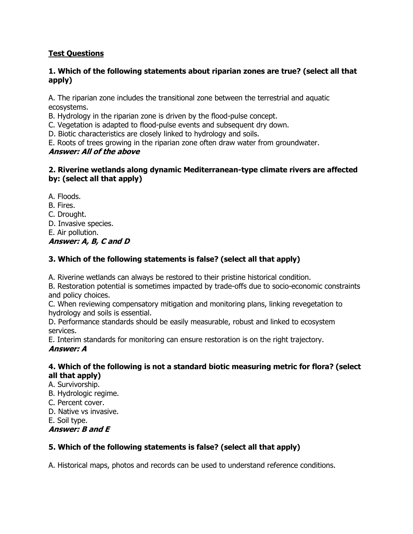### **Test Questions**

#### **1. Which of the following statements about riparian zones are true? (select all that apply)**

A. The riparian zone includes the transitional zone between the terrestrial and aquatic ecosystems.

B. Hydrology in the riparian zone is driven by the flood-pulse concept.

C. Vegetation is adapted to flood-pulse events and subsequent dry down.

D. Biotic characteristics are closely linked to hydrology and soils.

E. Roots of trees growing in the riparian zone often draw water from groundwater.

#### **Answer: All of the above**

### **2. Riverine wetlands along dynamic Mediterranean-type climate rivers are affected by: (select all that apply)**

A. Floods.

B. Fires.

C. Drought.

D. Invasive species.

E. Air pollution.

**Answer: A, B, C and D**

### **3. Which of the following statements is false? (select all that apply)**

A. Riverine wetlands can always be restored to their pristine historical condition.

B. Restoration potential is sometimes impacted by trade-offs due to socio-economic constraints and policy choices.

C. When reviewing compensatory mitigation and monitoring plans, linking revegetation to hydrology and soils is essential.

D. Performance standards should be easily measurable, robust and linked to ecosystem services.

E. Interim standards for monitoring can ensure restoration is on the right trajectory. **Answer: A**

#### **4. Which of the following is not a standard biotic measuring metric for flora? (select all that apply)**

- A. Survivorship.
- B. Hydrologic regime.
- C. Percent cover.
- D. Native vs invasive.

E. Soil type.

**Answer: B and E**

### **5. Which of the following statements is false? (select all that apply)**

A. Historical maps, photos and records can be used to understand reference conditions.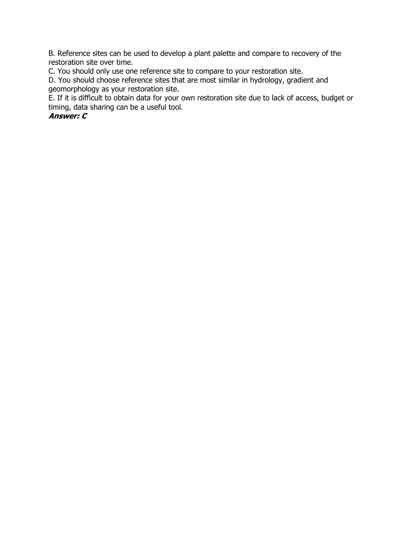B. Reference sites can be used to develop a plant palette and compare to recovery of the restoration site over time.

C. You should only use one reference site to compare to your restoration site.

D. You should choose reference sites that are most similar in hydrology, gradient and geomorphology as your restoration site.

E. If it is difficult to obtain data for your own restoration site due to lack of access, budget or timing, data sharing can be a useful tool.

### **Answer: C**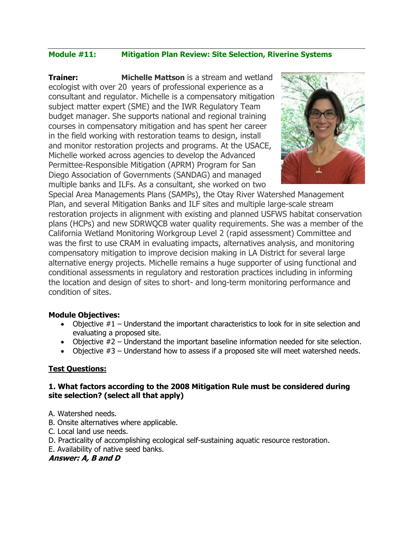### **Module #11: Mitigation Plan Review: Site Selection, Riverine Systems**

**Trainer:** Michelle Mattson is a stream and wetland ecologist with over 20 years of professional experience as a consultant and regulator. Michelle is a compensatory mitigation subject matter expert (SME) and the IWR Regulatory Team budget manager. She supports national and regional training courses in compensatory mitigation and has spent her career in the field working with restoration teams to design, install and monitor restoration projects and programs. At the USACE, Michelle worked across agencies to develop the Advanced Permittee-Responsible Mitigation (APRM) Program for San Diego Association of Governments (SANDAG) and managed multiple banks and ILFs. As a consultant, she worked on two



Special Area Managements Plans (SAMPs), the Otay River Watershed Management Plan, and several Mitigation Banks and ILF sites and multiple large-scale stream restoration projects in alignment with existing and planned USFWS habitat conservation plans (HCPs) and new SDRWQCB water quality requirements. She was a member of the California Wetland Monitoring Workgroup Level 2 (rapid assessment) Committee and was the first to use CRAM in evaluating impacts, alternatives analysis, and monitoring compensatory mitigation to improve decision making in LA District for several large alternative energy projects. Michelle remains a huge supporter of using functional and conditional assessments in regulatory and restoration practices including in informing the location and design of sites to short- and long-term monitoring performance and condition of sites.

#### **Module Objectives:**

- Objective  $#1$  Understand the important characteristics to look for in site selection and evaluating a proposed site.
- Objective #2 Understand the important baseline information needed for site selection.
- Objective  $#3$  Understand how to assess if a proposed site will meet watershed needs.

#### **Test Questions:**

#### **1. What factors according to the 2008 Mitigation Rule must be considered during site selection? (select all that apply)**

- A. Watershed needs.
- B. Onsite alternatives where applicable.
- C. Local land use needs.
- D. Practicality of accomplishing ecological self-sustaining aquatic resource restoration.
- E. Availability of native seed banks.

#### **Answer: A, B and D**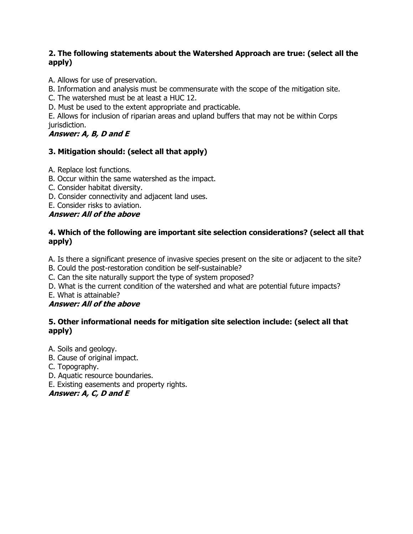#### **2. The following statements about the Watershed Approach are true: (select all the apply)**

A. Allows for use of preservation.

B. Information and analysis must be commensurate with the scope of the mitigation site.

C. The watershed must be at least a HUC 12.

D. Must be used to the extent appropriate and practicable.

E. Allows for inclusion of riparian areas and upland buffers that may not be within Corps jurisdiction.

**Answer: A, B, D and E**

### **3. Mitigation should: (select all that apply)**

A. Replace lost functions.

- B. Occur within the same watershed as the impact.
- C. Consider habitat diversity.
- D. Consider connectivity and adjacent land uses.
- E. Consider risks to aviation.

### **Answer: All of the above**

### **4. Which of the following are important site selection considerations? (select all that apply)**

A. Is there a significant presence of invasive species present on the site or adjacent to the site?

B. Could the post-restoration condition be self-sustainable?

C. Can the site naturally support the type of system proposed?

D. What is the current condition of the watershed and what are potential future impacts?

E. What is attainable?

### **Answer: All of the above**

### **5. Other informational needs for mitigation site selection include: (select all that apply)**

A. Soils and geology.

- B. Cause of original impact.
- C. Topography.
- D. Aquatic resource boundaries.
- E. Existing easements and property rights.

**Answer: A, C, D and E**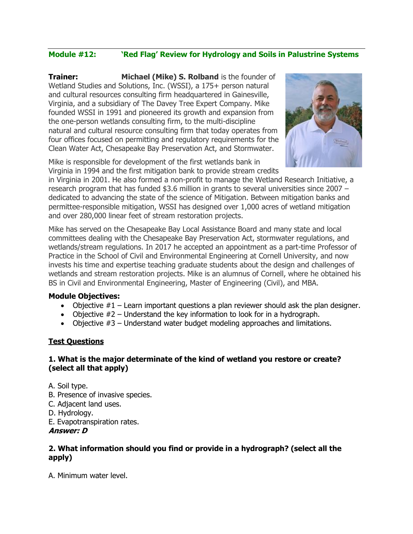### **Module #12: 'Red Flag' Review for Hydrology and Soils in Palustrine Systems**

**Trainer: Michael (Mike) S. Rolband** is the founder of Wetland Studies and Solutions, Inc. (WSSI), a 175+ person natural and cultural resources consulting firm headquartered in Gainesville, Virginia, and a subsidiary of The Davey Tree Expert Company. Mike founded WSSI in 1991 and pioneered its growth and expansion from the one-person wetlands consulting firm, to the multi-discipline natural and cultural resource consulting firm that today operates from four offices focused on permitting and regulatory requirements for the Clean Water Act, Chesapeake Bay Preservation Act, and Stormwater.





in Virginia in 2001. He also formed a non-profit to manage the Wetland Research Initiative, a research program that has funded \$3.6 million in grants to several universities since 2007 – dedicated to advancing the state of the science of Mitigation. Between mitigation banks and permittee-responsible mitigation, WSSI has designed over 1,000 acres of wetland mitigation and over 280,000 linear feet of stream restoration projects.

Mike has served on the Chesapeake Bay Local Assistance Board and many state and local committees dealing with the Chesapeake Bay Preservation Act, stormwater regulations, and wetlands/stream regulations. In 2017 he accepted an appointment as a part-time Professor of Practice in the School of Civil and Environmental Engineering at Cornell University, and now invests his time and expertise teaching graduate students about the design and challenges of wetlands and stream restoration projects. Mike is an alumnus of Cornell, where he obtained his BS in Civil and Environmental Engineering, Master of Engineering (Civil), and MBA.

#### **Module Objectives:**

- Objective  $#1$  Learn important questions a plan reviewer should ask the plan designer.
- Objective  $#2$  Understand the key information to look for in a hydrograph.
- Objective  $#3$  Understand water budget modeling approaches and limitations.

#### **Test Questions**

#### **1. What is the major determinate of the kind of wetland you restore or create? (select all that apply)**

A. Soil type.

- B. Presence of invasive species.
- C. Adjacent land uses.
- D. Hydrology.
- E. Evapotranspiration rates.

#### **Answer: D**

#### **2. What information should you find or provide in a hydrograph? (select all the apply)**

A. Minimum water level.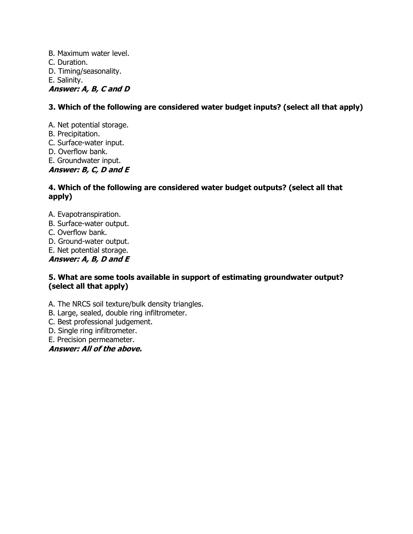B. Maximum water level. C. Duration. D. Timing/seasonality. E. Salinity. **Answer: A, B, C and D**

### **3. Which of the following are considered water budget inputs? (select all that apply)**

A. Net potential storage.

- B. Precipitation.
- C. Surface-water input.
- D. Overflow bank.
- E. Groundwater input.

**Answer: B, C, D and E**

#### **4. Which of the following are considered water budget outputs? (select all that apply)**

- A. Evapotranspiration.
- B. Surface-water output.
- C. Overflow bank.
- D. Ground-water output.
- E. Net potential storage.

**Answer: A, B, D and E**

#### **5. What are some tools available in support of estimating groundwater output? (select all that apply)**

A. The NRCS soil texture/bulk density triangles.

- B. Large, sealed, double ring infiltrometer.
- C. Best professional judgement.
- D. Single ring infiltrometer.
- E. Precision permeameter.

#### **Answer: All of the above.**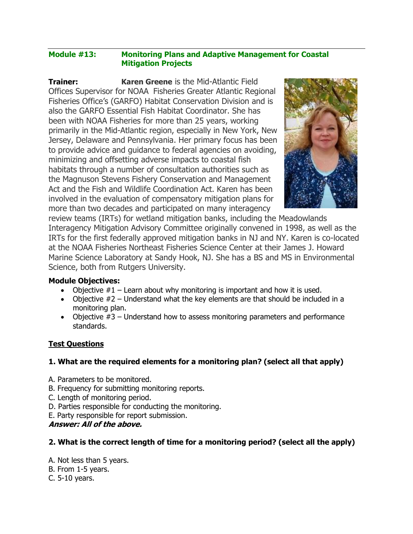#### **Module #13: Monitoring Plans and Adaptive Management for Coastal Mitigation Projects**

**Trainer: Karen Greene** is the Mid-Atlantic Field Offices Supervisor for NOAA Fisheries Greater Atlantic Regional Fisheries Office's (GARFO) Habitat Conservation Division and is also the GARFO Essential Fish Habitat Coordinator. She has been with NOAA Fisheries for more than 25 years, working primarily in the Mid-Atlantic region, especially in New York, New Jersey, Delaware and Pennsylvania. Her primary focus has been to provide advice and guidance to federal agencies on avoiding, minimizing and offsetting adverse impacts to coastal fish habitats through a number of consultation authorities such as the Magnuson Stevens Fishery Conservation and Management Act and the Fish and Wildlife Coordination Act. Karen has been involved in the evaluation of compensatory mitigation plans for more than two decades and participated on many interagency



review teams (IRTs) for wetland mitigation banks, including the Meadowlands Interagency Mitigation Advisory Committee originally convened in 1998, as well as the IRTs for the first federally approved mitigation banks in NJ and NY. Karen is co-located at the NOAA Fisheries Northeast Fisheries Science Center at their James J. Howard Marine Science Laboratory at Sandy Hook, NJ. She has a BS and MS in Environmental Science, both from Rutgers University.

#### **Module Objectives:**

- Objective  $#1$  Learn about why monitoring is important and how it is used.
- Objective  $#2$  Understand what the key elements are that should be included in a monitoring plan.
- Objective  $#3$  Understand how to assess monitoring parameters and performance standards.

#### **Test Questions**

#### **1. What are the required elements for a monitoring plan? (select all that apply)**

- A. Parameters to be monitored.
- B. Frequency for submitting monitoring reports.
- C. Length of monitoring period.
- D. Parties responsible for conducting the monitoring.
- E. Party responsible for report submission.

#### **Answer: All of the above.**

#### **2. What is the correct length of time for a monitoring period? (select all the apply)**

- A. Not less than 5 years.
- B. From 1-5 years.
- C. 5-10 years.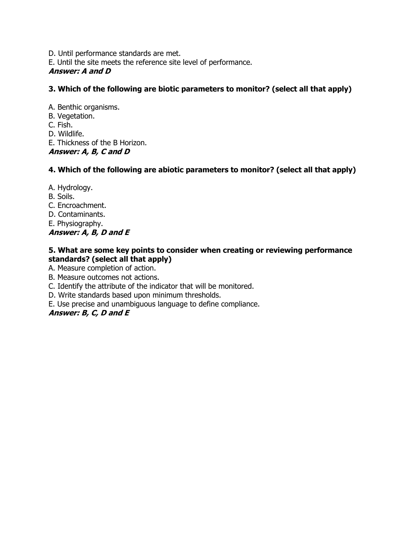D. Until performance standards are met.

E. Until the site meets the reference site level of performance.

### **Answer: A and D**

### **3. Which of the following are biotic parameters to monitor? (select all that apply)**

A. Benthic organisms.

B. Vegetation.

C. Fish.

D. Wildlife.

E. Thickness of the B Horizon.

**Answer: A, B, C and D**

### **4. Which of the following are abiotic parameters to monitor? (select all that apply)**

A. Hydrology.

B. Soils.

C. Encroachment.

D. Contaminants.

E. Physiography.

### **Answer: A, B, D and E**

### **5. What are some key points to consider when creating or reviewing performance standards? (select all that apply)**

A. Measure completion of action.

B. Measure outcomes not actions.

C. Identify the attribute of the indicator that will be monitored.

D. Write standards based upon minimum thresholds.

E. Use precise and unambiguous language to define compliance.

### **Answer: B, C, D and E**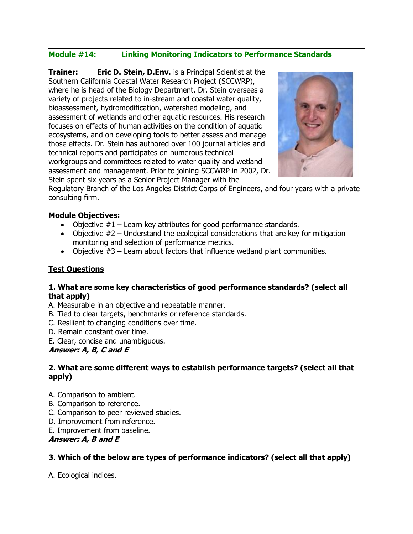### **Module #14: Linking Monitoring Indicators to Performance Standards**

**Trainer: Eric D. Stein, D.Env.** is a Principal Scientist at the Southern California Coastal Water Research Project (SCCWRP), where he is head of the Biology Department. Dr. Stein oversees a variety of projects related to in-stream and coastal water quality, bioassessment, hydromodification, watershed modeling, and assessment of wetlands and other aquatic resources. His research focuses on effects of human activities on the condition of aquatic ecosystems, and on developing tools to better assess and manage those effects. Dr. Stein has authored over 100 journal articles and technical reports and participates on numerous technical workgroups and committees related to water quality and wetland assessment and management. Prior to joining SCCWRP in 2002, Dr. Stein spent six years as a Senior Project Manager with the



Regulatory Branch of the Los Angeles District Corps of Engineers, and four years with a private consulting firm.

#### **Module Objectives:**

- Objective  $#1$  Learn key attributes for good performance standards.
- Objective  $#2$  Understand the ecological considerations that are key for mitigation monitoring and selection of performance metrics.
- Objective  $#3$  Learn about factors that influence wetland plant communities.

#### **Test Questions**

#### **1. What are some key characteristics of good performance standards? (select all that apply)**

A. Measurable in an objective and repeatable manner.

- B. Tied to clear targets, benchmarks or reference standards.
- C. Resilient to changing conditions over time.
- D. Remain constant over time.
- E. Clear, concise and unambiguous.

#### **Answer: A, B, C and E**

#### **2. What are some different ways to establish performance targets? (select all that apply)**

- A. Comparison to ambient.
- B. Comparison to reference.
- C. Comparison to peer reviewed studies.
- D. Improvement from reference.
- E. Improvement from baseline.

#### **Answer: A, B and E**

#### **3. Which of the below are types of performance indicators? (select all that apply)**

A. Ecological indices.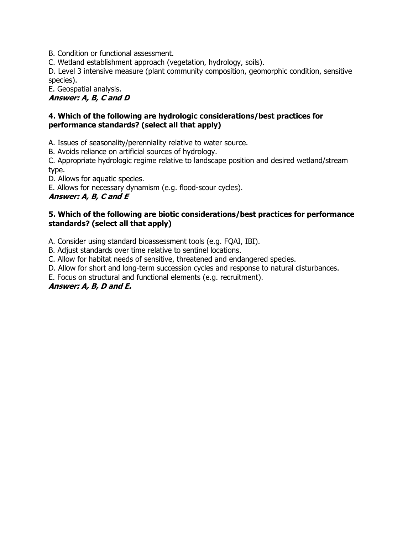B. Condition or functional assessment.

C. Wetland establishment approach (vegetation, hydrology, soils).

D. Level 3 intensive measure (plant community composition, geomorphic condition, sensitive species).

E. Geospatial analysis.

**Answer: A, B, C and D**

#### **4. Which of the following are hydrologic considerations/best practices for performance standards? (select all that apply)**

A. Issues of seasonality/perenniality relative to water source.

B. Avoids reliance on artificial sources of hydrology.

C. Appropriate hydrologic regime relative to landscape position and desired wetland/stream type.

D. Allows for aquatic species.

E. Allows for necessary dynamism (e.g. flood-scour cycles).

#### **Answer: A, B, C and E**

#### **5. Which of the following are biotic considerations/best practices for performance standards? (select all that apply)**

A. Consider using standard bioassessment tools (e.g. FQAI, IBI).

B. Adjust standards over time relative to sentinel locations.

C. Allow for habitat needs of sensitive, threatened and endangered species.

D. Allow for short and long-term succession cycles and response to natural disturbances.

E. Focus on structural and functional elements (e.g. recruitment).

### **Answer: A, B, D and E.**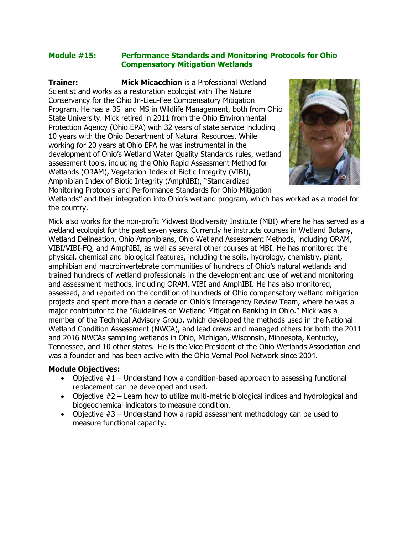#### **Module #15: Performance Standards and Monitoring Protocols for Ohio Compensatory Mitigation Wetlands**

**Trainer: Mick Micacchion** is a Professional Wetland Scientist and works as a restoration ecologist with The Nature Conservancy for the Ohio In-Lieu-Fee Compensatory Mitigation Program. He has a BS and MS in Wildlife Management, both from Ohio State University. Mick retired in 2011 from the Ohio Environmental Protection Agency (Ohio EPA) with 32 years of state service including 10 years with the Ohio Department of Natural Resources. While working for 20 years at Ohio EPA he was instrumental in the development of Ohio's Wetland Water Quality Standards rules, wetland assessment tools, including the Ohio Rapid Assessment Method for Wetlands (ORAM), Vegetation Index of Biotic Integrity (VIBI), Amphibian Index of Biotic Integrity (AmphIBI), "Standardized Monitoring Protocols and Performance Standards for Ohio Mitigation



Wetlands" and their integration into Ohio's wetland program, which has worked as a model for the country.

Mick also works for the non-profit Midwest Biodiversity Institute (MBI) where he has served as a wetland ecologist for the past seven years. Currently he instructs courses in Wetland Botany, Wetland Delineation, Ohio Amphibians, Ohio Wetland Assessment Methods, including ORAM, VIBI/VIBI-FQ, and AmphIBI, as well as several other courses at MBI. He has monitored the physical, chemical and biological features, including the soils, hydrology, chemistry, plant, amphibian and macroinvertebrate communities of hundreds of Ohio's natural wetlands and trained hundreds of wetland professionals in the development and use of wetland monitoring and assessment methods, including ORAM, VIBI and AmphIBI. He has also monitored, assessed, and reported on the condition of hundreds of Ohio compensatory wetland mitigation projects and spent more than a decade on Ohio's Interagency Review Team, where he was a major contributor to the "Guidelines on Wetland Mitigation Banking in Ohio." Mick was a member of the Technical Advisory Group, which developed the methods used in the National Wetland Condition Assessment (NWCA), and lead crews and managed others for both the 2011 and 2016 NWCAs sampling wetlands in Ohio, Michigan, Wisconsin, Minnesota, Kentucky, Tennessee, and 10 other states. He is the Vice President of the Ohio Wetlands Association and was a founder and has been active with the Ohio Vernal Pool Network since 2004.

#### **Module Objectives:**

- Objective  $#1$  Understand how a condition-based approach to assessing functional replacement can be developed and used.
- Objective #2 Learn how to utilize multi-metric biological indices and hydrological and biogeochemical indicators to measure condition.
- Objective  $#3$  Understand how a rapid assessment methodology can be used to measure functional capacity.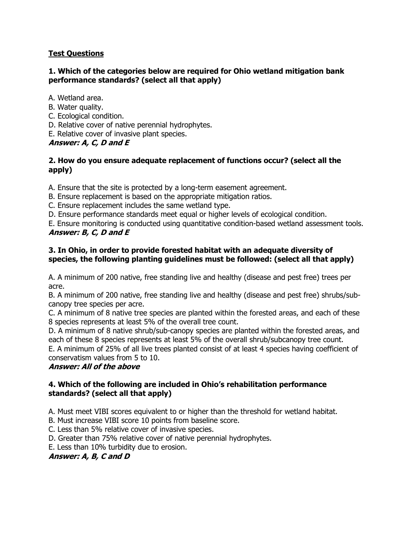### **Test Questions**

#### **1. Which of the categories below are required for Ohio wetland mitigation bank performance standards? (select all that apply)**

A. Wetland area.

- B. Water quality.
- C. Ecological condition.
- D. Relative cover of native perennial hydrophytes.
- E. Relative cover of invasive plant species.

### **Answer: A, C, D and E**

### **2. How do you ensure adequate replacement of functions occur? (select all the apply)**

A. Ensure that the site is protected by a long-term easement agreement.

- B. Ensure replacement is based on the appropriate mitigation ratios.
- C. Ensure replacement includes the same wetland type.

D. Ensure performance standards meet equal or higher levels of ecological condition.

E. Ensure monitoring is conducted using quantitative condition-based wetland assessment tools. **Answer: B, C, D and E**

### **3. In Ohio, in order to provide forested habitat with an adequate diversity of species, the following planting guidelines must be followed: (select all that apply)**

A. A minimum of 200 native, free standing live and healthy (disease and pest free) trees per acre.

B. A minimum of 200 native, free standing live and healthy (disease and pest free) shrubs/subcanopy tree species per acre.

C. A minimum of 8 native tree species are planted within the forested areas, and each of these 8 species represents at least 5% of the overall tree count.

D. A minimum of 8 native shrub/sub-canopy species are planted within the forested areas, and each of these 8 species represents at least 5% of the overall shrub/subcanopy tree count.

E. A minimum of 25% of all live trees planted consist of at least 4 species having coefficient of conservatism values from 5 to 10.

### **Answer: All of the above**

#### **4. Which of the following are included in Ohio's rehabilitation performance standards? (select all that apply)**

A. Must meet VIBI scores equivalent to or higher than the threshold for wetland habitat.

B. Must increase VIBI score 10 points from baseline score.

C. Less than 5% relative cover of invasive species.

D. Greater than 75% relative cover of native perennial hydrophytes.

E. Less than 10% turbidity due to erosion.

#### **Answer: A, B, C and D**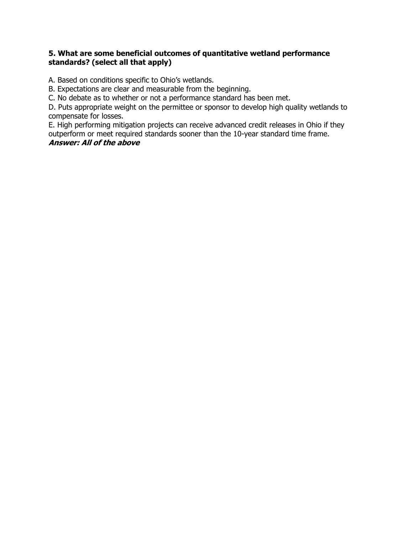#### **5. What are some beneficial outcomes of quantitative wetland performance standards? (select all that apply)**

A. Based on conditions specific to Ohio's wetlands.

B. Expectations are clear and measurable from the beginning.

C. No debate as to whether or not a performance standard has been met.

D. Puts appropriate weight on the permittee or sponsor to develop high quality wetlands to compensate for losses.

E. High performing mitigation projects can receive advanced credit releases in Ohio if they outperform or meet required standards sooner than the 10-year standard time frame.

#### **Answer: All of the above**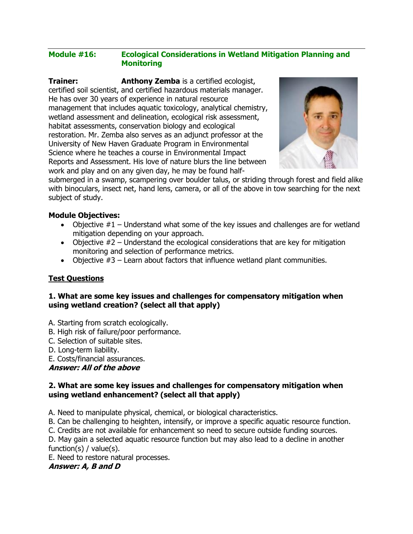#### **Module #16: Ecological Considerations in Wetland Mitigation Planning and Monitoring**

**Trainer: Anthony Zemba** is a certified ecologist, certified soil scientist, and certified hazardous materials manager. He has over 30 years of experience in natural resource management that includes aquatic toxicology, analytical chemistry, wetland assessment and delineation, ecological risk assessment, habitat assessments, conservation biology and ecological restoration. Mr. Zemba also serves as an adjunct professor at the University of New Haven Graduate Program in Environmental Science where he teaches a course in Environmental Impact Reports and Assessment. His love of nature blurs the line between work and play and on any given day, he may be found half-



submerged in a swamp, scampering over boulder talus, or striding through forest and field alike with binoculars, insect net, hand lens, camera, or all of the above in tow searching for the next subject of study.

#### **Module Objectives:**

- Objective  $#1$  Understand what some of the key issues and challenges are for wetland mitigation depending on your approach.
- Objective  $#2$  Understand the ecological considerations that are key for mitigation monitoring and selection of performance metrics.
- Objective  $#3$  Learn about factors that influence wetland plant communities.

#### **Test Questions**

#### **1. What are some key issues and challenges for compensatory mitigation when using wetland creation? (select all that apply)**

- A. Starting from scratch ecologically.
- B. High risk of failure/poor performance.
- C. Selection of suitable sites.
- D. Long-term liability.
- E. Costs/financial assurances.

#### **Answer: All of the above**

#### **2. What are some key issues and challenges for compensatory mitigation when using wetland enhancement? (select all that apply)**

- A. Need to manipulate physical, chemical, or biological characteristics.
- B. Can be challenging to heighten, intensify, or improve a specific aquatic resource function.
- C. Credits are not available for enhancement so need to secure outside funding sources.

D. May gain a selected aquatic resource function but may also lead to a decline in another function(s) / value(s).

E. Need to restore natural processes.

#### **Answer: A, B and D**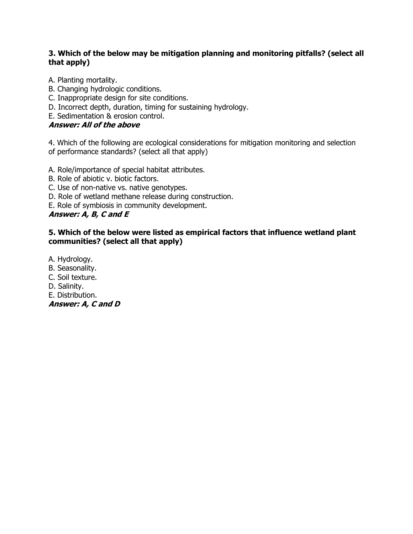#### **3. Which of the below may be mitigation planning and monitoring pitfalls? (select all that apply)**

A. Planting mortality.

- B. Changing hydrologic conditions.
- C. Inappropriate design for site conditions.
- D. Incorrect depth, duration, timing for sustaining hydrology.

E. Sedimentation & erosion control.

### **Answer: All of the above**

4. Which of the following are ecological considerations for mitigation monitoring and selection of performance standards? (select all that apply)

A. Role/importance of special habitat attributes.

- B. Role of abiotic v. biotic factors.
- C. Use of non-native vs. native genotypes.
- D. Role of wetland methane release during construction.
- E. Role of symbiosis in community development.

### **Answer: A, B, C and E**

#### **5. Which of the below were listed as empirical factors that influence wetland plant communities? (select all that apply)**

A. Hydrology.

- B. Seasonality.
- C. Soil texture.
- D. Salinity.
- E. Distribution.

**Answer: A, C and D**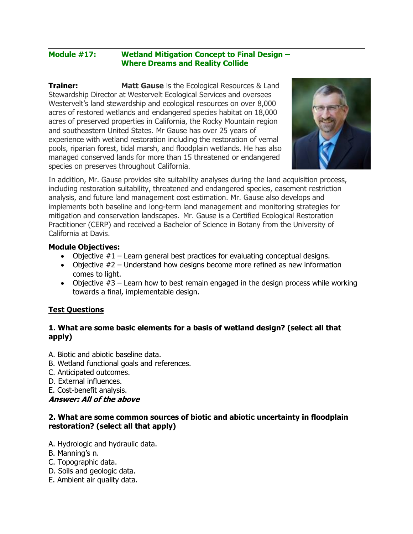#### **Module #17: Wetland Mitigation Concept to Final Design – Where Dreams and Reality Collide**

**Trainer:** Matt Gause is the Ecological Resources & Land Stewardship Director at Westervelt Ecological Services and oversees Westervelt's land stewardship and ecological resources on over 8,000 acres of restored wetlands and endangered species habitat on 18,000 acres of preserved properties in California, the Rocky Mountain region and southeastern United States. Mr Gause has over 25 years of experience with wetland restoration including the restoration of vernal pools, riparian forest, tidal marsh, and floodplain wetlands. He has also managed conserved lands for more than 15 threatened or endangered species on preserves throughout California.



In addition, Mr. Gause provides site suitability analyses during the land acquisition process, including restoration suitability, threatened and endangered species, easement restriction analysis, and future land management cost estimation. Mr. Gause also develops and implements both baseline and long-term land management and monitoring strategies for mitigation and conservation landscapes. Mr. Gause is a Certified Ecological Restoration Practitioner (CERP) and received a Bachelor of Science in Botany from the University of California at Davis.

#### **Module Objectives:**

- Objective  $#1$  Learn general best practices for evaluating conceptual designs.
- Objective #2 Understand how designs become more refined as new information comes to light.
- Objective  $#3$  Learn how to best remain engaged in the design process while working towards a final, implementable design.

### **Test Questions**

#### **1. What are some basic elements for a basis of wetland design? (select all that apply)**

- A. Biotic and abiotic baseline data.
- B. Wetland functional goals and references.
- C. Anticipated outcomes.
- D. External influences.
- E. Cost-benefit analysis.

#### **Answer: All of the above**

#### **2. What are some common sources of biotic and abiotic uncertainty in floodplain restoration? (select all that apply)**

- A. Hydrologic and hydraulic data.
- B. Manning's n.
- C. Topographic data.
- D. Soils and geologic data.
- E. Ambient air quality data.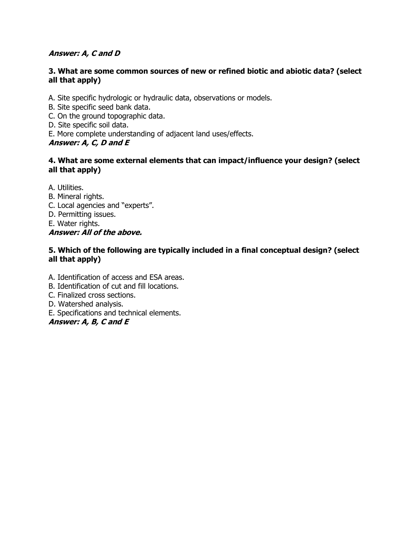#### **Answer: A, C and D**

#### **3. What are some common sources of new or refined biotic and abiotic data? (select all that apply)**

- A. Site specific hydrologic or hydraulic data, observations or models.
- B. Site specific seed bank data.
- C. On the ground topographic data.
- D. Site specific soil data.
- E. More complete understanding of adjacent land uses/effects.

#### **Answer: A, C, D and E**

#### **4. What are some external elements that can impact/influence your design? (select all that apply)**

- A. Utilities.
- B. Mineral rights.
- C. Local agencies and "experts".
- D. Permitting issues.
- E. Water rights.

#### **Answer: All of the above.**

#### **5. Which of the following are typically included in a final conceptual design? (select all that apply)**

- A. Identification of access and ESA areas.
- B. Identification of cut and fill locations.
- C. Finalized cross sections.
- D. Watershed analysis.
- E. Specifications and technical elements.

#### **Answer: A, B, C and E**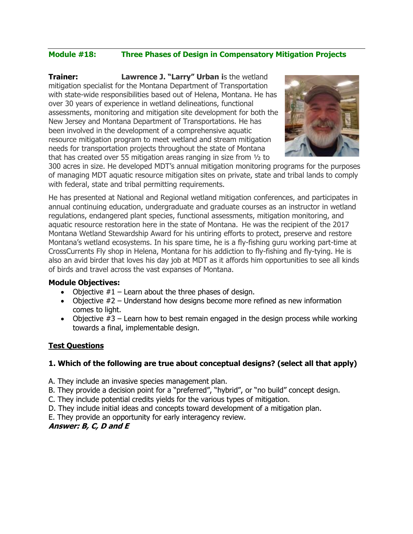### **Module #18: Three Phases of Design in Compensatory Mitigation Projects**

**Trainer: Lawrence J. "Larry" Urban i**s the wetland mitigation specialist for the Montana Department of Transportation with state-wide responsibilities based out of Helena, Montana. He has over 30 years of experience in wetland delineations, functional assessments, monitoring and mitigation site development for both the New Jersey and Montana Department of Transportations. He has been involved in the development of a comprehensive aquatic resource mitigation program to meet wetland and stream mitigation needs for transportation projects throughout the state of Montana that has created over 55 mitigation areas ranging in size from ½ to



300 acres in size. He developed MDT's annual mitigation monitoring programs for the purposes of managing MDT aquatic resource mitigation sites on private, state and tribal lands to comply with federal, state and tribal permitting requirements.

He has presented at National and Regional wetland mitigation conferences, and participates in annual continuing education, undergraduate and graduate courses as an instructor in wetland regulations, endangered plant species, functional assessments, mitigation monitoring, and aquatic resource restoration here in the state of Montana. He was the recipient of the 2017 Montana Wetland Stewardship Award for his untiring efforts to protect, preserve and restore Montana's wetland ecosystems. In his spare time, he is a fly-fishing guru working part-time at CrossCurrents Fly shop in Helena, Montana for his addiction to fly-fishing and fly-tying. He is also an avid birder that loves his day job at MDT as it affords him opportunities to see all kinds of birds and travel across the vast expanses of Montana.

#### **Module Objectives:**

- Objective  $#1$  Learn about the three phases of design.
- Objective #2 Understand how designs become more refined as new information comes to light.
- Objective  $#3$  Learn how to best remain engaged in the design process while working towards a final, implementable design.

#### **Test Questions**

#### **1. Which of the following are true about conceptual designs? (select all that apply)**

- A. They include an invasive species management plan.
- B. They provide a decision point for a "preferred", "hybrid", or "no build" concept design.
- C. They include potential credits yields for the various types of mitigation.
- D. They include initial ideas and concepts toward development of a mitigation plan.
- E. They provide an opportunity for early interagency review.

#### **Answer: B, C, D and E**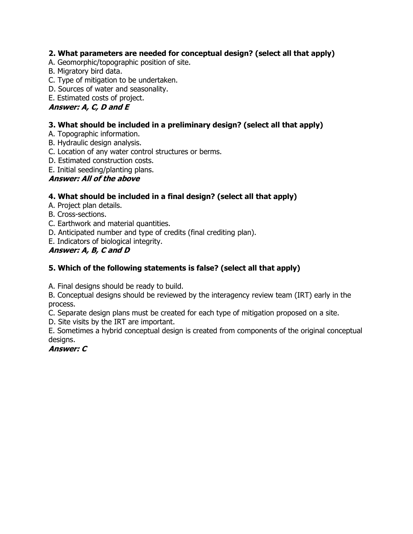### **2. What parameters are needed for conceptual design? (select all that apply)**

- A. Geomorphic/topographic position of site.
- B. Migratory bird data.
- C. Type of mitigation to be undertaken.
- D. Sources of water and seasonality.

## E. Estimated costs of project.

### **Answer: A, C, D and E**

### **3. What should be included in a preliminary design? (select all that apply)**

- A. Topographic information.
- B. Hydraulic design analysis.
- C. Location of any water control structures or berms.
- D. Estimated construction costs.
- E. Initial seeding/planting plans.

### **Answer: All of the above**

### **4. What should be included in a final design? (select all that apply)**

- A. Project plan details.
- B. Cross-sections.
- C. Earthwork and material quantities.
- D. Anticipated number and type of credits (final crediting plan).
- E. Indicators of biological integrity.

### **Answer: A, B, C and D**

### **5. Which of the following statements is false? (select all that apply)**

A. Final designs should be ready to build.

B. Conceptual designs should be reviewed by the interagency review team (IRT) early in the process.

C. Separate design plans must be created for each type of mitigation proposed on a site.

D. Site visits by the IRT are important.

E. Sometimes a hybrid conceptual design is created from components of the original conceptual designs.

### **Answer: C**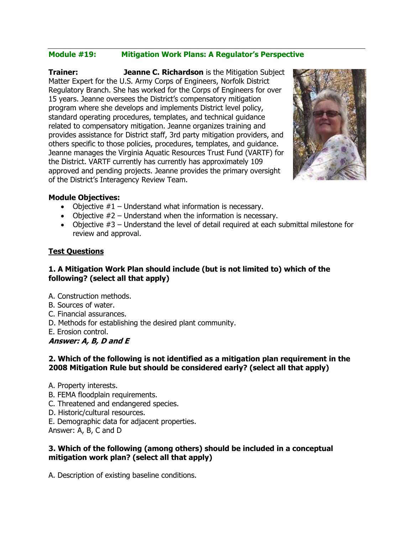#### **Module #19: Mitigation Work Plans: A Regulator's Perspective**

**Trainer: Jeanne C. Richardson** is the Mitigation Subject Matter Expert for the U.S. Army Corps of Engineers, Norfolk District Regulatory Branch. She has worked for the Corps of Engineers for over 15 years. Jeanne oversees the District's compensatory mitigation program where she develops and implements District level policy, standard operating procedures, templates, and technical guidance related to compensatory mitigation. Jeanne organizes training and provides assistance for District staff, 3rd party mitigation providers, and others specific to those policies, procedures, templates, and guidance. Jeanne manages the Virginia Aquatic Resources Trust Fund (VARTF) for the District. VARTF currently has currently has approximately 109 approved and pending projects. Jeanne provides the primary oversight of the District's Interagency Review Team.



#### **Module Objectives:**

- Objective  $#1$  Understand what information is necessary.
- Objective  $#2$  Understand when the information is necessary.
- Objective  $#3$  Understand the level of detail required at each submittal milestone for review and approval.

#### **Test Questions**

### **1. A Mitigation Work Plan should include (but is not limited to) which of the following? (select all that apply)**

- A. Construction methods.
- B. Sources of water.
- C. Financial assurances.
- D. Methods for establishing the desired plant community.

E. Erosion control.

#### **Answer: A, B, D and E**

#### **2. Which of the following is not identified as a mitigation plan requirement in the 2008 Mitigation Rule but should be considered early? (select all that apply)**

- A. Property interests.
- B. FEMA floodplain requirements.
- C. Threatened and endangered species.
- D. Historic/cultural resources.
- E. Demographic data for adjacent properties.

Answer: A, B, C and D

#### **3. Which of the following (among others) should be included in a conceptual mitigation work plan? (select all that apply)**

A. Description of existing baseline conditions.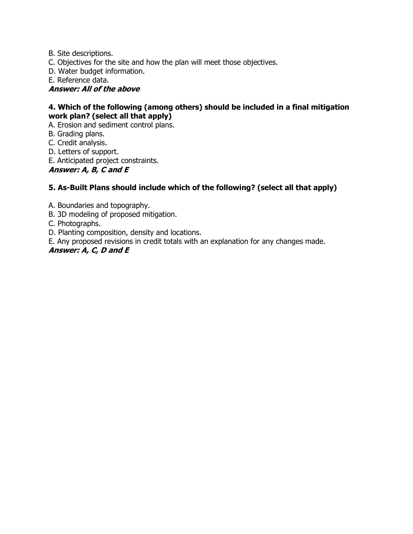B. Site descriptions.

C. Objectives for the site and how the plan will meet those objectives.

D. Water budget information.

E. Reference data.

**Answer: All of the above**

#### **4. Which of the following (among others) should be included in a final mitigation work plan? (select all that apply)**

A. Erosion and sediment control plans.

B. Grading plans.

C. Credit analysis.

D. Letters of support.

E. Anticipated project constraints.

**Answer: A, B, C and E**

#### **5. As-Built Plans should include which of the following? (select all that apply)**

A. Boundaries and topography.

B. 3D modeling of proposed mitigation.

C. Photographs.

D. Planting composition, density and locations.

E. Any proposed revisions in credit totals with an explanation for any changes made.

#### **Answer: A, C, D and E**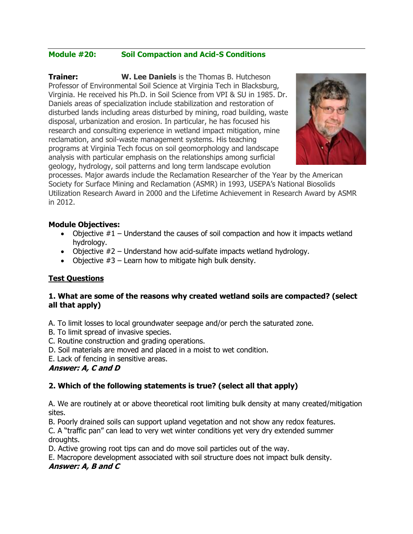### **Module #20: Soil Compaction and Acid-S Conditions**

**Trainer: W. Lee Daniels** is the Thomas B. Hutcheson Professor of Environmental Soil Science at Virginia Tech in Blacksburg, Virginia. He received his Ph.D. in Soil Science from VPI & SU in 1985. Dr. Daniels areas of specialization include stabilization and restoration of disturbed lands including areas disturbed by mining, road building, waste disposal, urbanization and erosion. In particular, he has focused his research and consulting experience in wetland impact mitigation, mine reclamation, and soil-waste management systems. His teaching programs at Virginia Tech focus on soil geomorphology and landscape analysis with particular emphasis on the relationships among surficial geology, hydrology, soil patterns and long term landscape evolution



processes. Major awards include the Reclamation Researcher of the Year by the American Society for Surface Mining and Reclamation (ASMR) in 1993, USEPA's National Biosolids Utilization Research Award in 2000 and the Lifetime Achievement in Research Award by ASMR in 2012.

#### **Module Objectives:**

- Objective  $#1$  Understand the causes of soil compaction and how it impacts wetland hydrology.
- Objective  $#2$  Understand how acid-sulfate impacts wetland hydrology.
- Objective  $#3$  Learn how to mitigate high bulk density.

#### **Test Questions**

#### **1. What are some of the reasons why created wetland soils are compacted? (select all that apply)**

A. To limit losses to local groundwater seepage and/or perch the saturated zone.

- B. To limit spread of invasive species.
- C. Routine construction and grading operations.
- D. Soil materials are moved and placed in a moist to wet condition.
- E. Lack of fencing in sensitive areas.

#### **Answer: A, C and D**

### **2. Which of the following statements is true? (select all that apply)**

A. We are routinely at or above theoretical root limiting bulk density at many created/mitigation sites.

B. Poorly drained soils can support upland vegetation and not show any redox features.

C. A "traffic pan" can lead to very wet winter conditions yet very dry extended summer droughts.

D. Active growing root tips can and do move soil particles out of the way.

E. Macropore development associated with soil structure does not impact bulk density.

#### **Answer: A, B and C**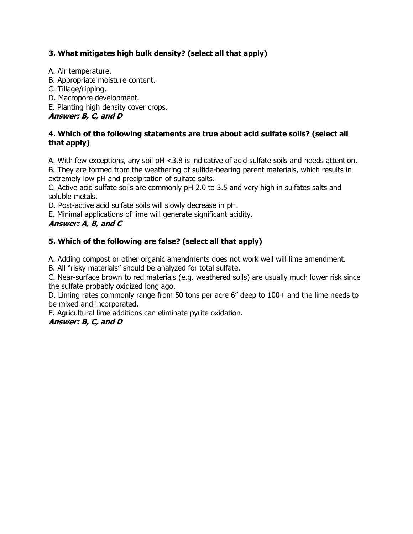### **3. What mitigates high bulk density? (select all that apply)**

- A. Air temperature.
- B. Appropriate moisture content.
- C. Tillage/ripping.
- D. Macropore development.
- E. Planting high density cover crops.

### **Answer: B, C, and D**

#### **4. Which of the following statements are true about acid sulfate soils? (select all that apply)**

A. With few exceptions, any soil pH <3.8 is indicative of acid sulfate soils and needs attention. B. They are formed from the weathering of sulfide-bearing parent materials, which results in extremely low pH and precipitation of sulfate salts.

C. Active acid sulfate soils are commonly pH 2.0 to 3.5 and very high in sulfates salts and soluble metals.

D. Post-active acid sulfate soils will slowly decrease in pH.

E. Minimal applications of lime will generate significant acidity.

### **Answer: A, B, and C**

### **5. Which of the following are false? (select all that apply)**

A. Adding compost or other organic amendments does not work well will lime amendment.

B. All "risky materials" should be analyzed for total sulfate.

C. Near-surface brown to red materials (e.g. weathered soils) are usually much lower risk since the sulfate probably oxidized long ago.

D. Liming rates commonly range from 50 tons per acre 6" deep to 100+ and the lime needs to be mixed and incorporated.

E. Agricultural lime additions can eliminate pyrite oxidation.

### **Answer: B, C, and D**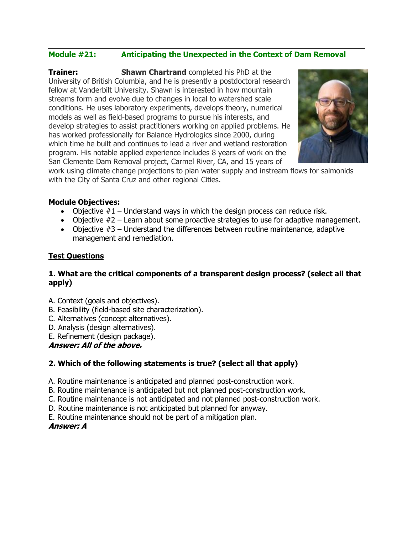### **Module #21: Anticipating the Unexpected in the Context of Dam Removal**

**Trainer: Shawn Chartrand** completed his PhD at the University of British Columbia, and he is presently a postdoctoral research fellow at Vanderbilt University. Shawn is interested in how mountain streams form and evolve due to changes in local to watershed scale conditions. He uses laboratory experiments, develops theory, numerical models as well as field-based programs to pursue his interests, and develop strategies to assist practitioners working on applied problems. He has worked professionally for Balance Hydrologics since 2000, during which time he built and continues to lead a river and wetland restoration program. His notable applied experience includes 8 years of work on the San Clemente Dam Removal project, Carmel River, CA, and 15 years of



work using climate change projections to plan water supply and instream flows for salmonids with the City of Santa Cruz and other regional Cities.

#### **Module Objectives:**

- Objective  $#1$  Understand ways in which the design process can reduce risk.
- Objective  $#2$  Learn about some proactive strategies to use for adaptive management.
- Objective #3 Understand the differences between routine maintenance, adaptive management and remediation.

#### **Test Questions**

#### **1. What are the critical components of a transparent design process? (select all that apply)**

- A. Context (goals and objectives).
- B. Feasibility (field-based site characterization).
- C. Alternatives (concept alternatives).
- D. Analysis (design alternatives).
- E. Refinement (design package).

**Answer: All of the above.**

### **2. Which of the following statements is true? (select all that apply)**

- A. Routine maintenance is anticipated and planned post-construction work.
- B. Routine maintenance is anticipated but not planned post-construction work.
- C. Routine maintenance is not anticipated and not planned post-construction work.
- D. Routine maintenance is not anticipated but planned for anyway.
- E. Routine maintenance should not be part of a mitigation plan.

#### **Answer: A**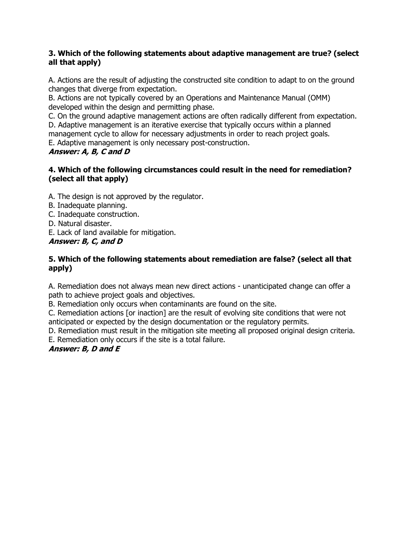#### **3. Which of the following statements about adaptive management are true? (select all that apply)**

A. Actions are the result of adjusting the constructed site condition to adapt to on the ground changes that diverge from expectation.

B. Actions are not typically covered by an Operations and Maintenance Manual (OMM) developed within the design and permitting phase.

C. On the ground adaptive management actions are often radically different from expectation.

D. Adaptive management is an iterative exercise that typically occurs within a planned management cycle to allow for necessary adjustments in order to reach project goals. E. Adaptive management is only necessary post-construction.

### **Answer: A, B, C and D**

### **4. Which of the following circumstances could result in the need for remediation? (select all that apply)**

A. The design is not approved by the regulator.

- B. Inadequate planning.
- C. Inadequate construction.

D. Natural disaster.

E. Lack of land available for mitigation.

**Answer: B, C, and D**

#### **5. Which of the following statements about remediation are false? (select all that apply)**

A. Remediation does not always mean new direct actions - unanticipated change can offer a path to achieve project goals and objectives.

B. Remediation only occurs when contaminants are found on the site.

C. Remediation actions [or inaction] are the result of evolving site conditions that were not anticipated or expected by the design documentation or the regulatory permits.

D. Remediation must result in the mitigation site meeting all proposed original design criteria.

E. Remediation only occurs if the site is a total failure.

### **Answer: B, D and E**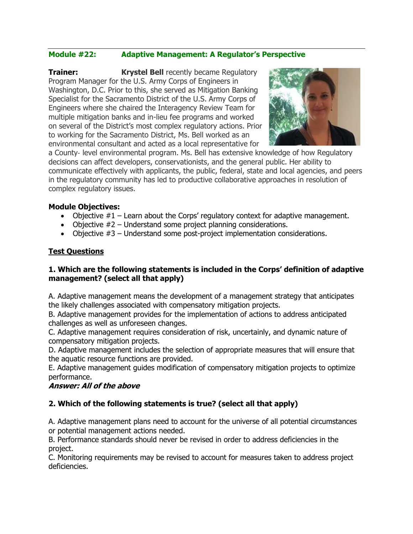### **Module #22: Adaptive Management: A Regulator's Perspective**

**Trainer: Krystel Bell** recently became Regulatory Program Manager for the U.S. Army Corps of Engineers in Washington, D.C. Prior to this, she served as Mitigation Banking Specialist for the Sacramento District of the U.S. Army Corps of Engineers where she chaired the Interagency Review Team for multiple mitigation banks and in-lieu fee programs and worked on several of the District's most complex regulatory actions. Prior to working for the Sacramento District, Ms. Bell worked as an environmental consultant and acted as a local representative for



a County‐ level environmental program. Ms. Bell has extensive knowledge of how Regulatory decisions can affect developers, conservationists, and the general public. Her ability to communicate effectively with applicants, the public, federal, state and local agencies, and peers in the regulatory community has led to productive collaborative approaches in resolution of complex regulatory issues.

#### **Module Objectives:**

- Objective  $#1$  Learn about the Corps' regulatory context for adaptive management.
- Objective  $#2$  Understand some project planning considerations.
- Objective #3 Understand some post-project implementation considerations.

#### **Test Questions**

#### **1. Which are the following statements is included in the Corps' definition of adaptive management? (select all that apply)**

A. Adaptive management means the development of a management strategy that anticipates the likely challenges associated with compensatory mitigation projects.

B. Adaptive management provides for the implementation of actions to address anticipated challenges as well as unforeseen changes.

C. Adaptive management requires consideration of risk, uncertainly, and dynamic nature of compensatory mitigation projects.

D. Adaptive management includes the selection of appropriate measures that will ensure that the aquatic resource functions are provided.

E. Adaptive management guides modification of compensatory mitigation projects to optimize performance.

#### **Answer: All of the above**

#### **2. Which of the following statements is true? (select all that apply)**

A. Adaptive management plans need to account for the universe of all potential circumstances or potential management actions needed.

B. Performance standards should never be revised in order to address deficiencies in the project.

C. Monitoring requirements may be revised to account for measures taken to address project deficiencies.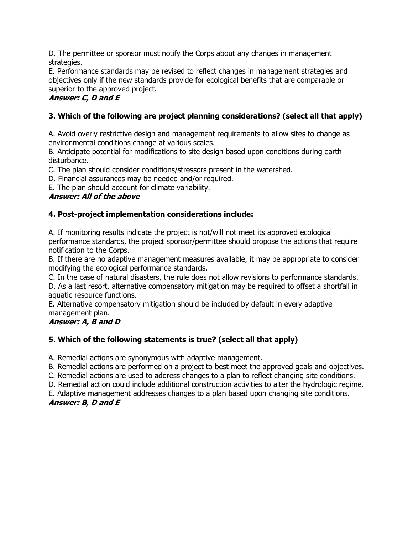D. The permittee or sponsor must notify the Corps about any changes in management strategies.

E. Performance standards may be revised to reflect changes in management strategies and objectives only if the new standards provide for ecological benefits that are comparable or superior to the approved project.

### **Answer: C, D and E**

### **3. Which of the following are project planning considerations? (select all that apply)**

A. Avoid overly restrictive design and management requirements to allow sites to change as environmental conditions change at various scales.

B. Anticipate potential for modifications to site design based upon conditions during earth disturbance.

C. The plan should consider conditions/stressors present in the watershed.

D. Financial assurances may be needed and/or required.

E. The plan should account for climate variability.

### **Answer: All of the above**

### **4. Post-project implementation considerations include:**

A. If monitoring results indicate the project is not/will not meet its approved ecological performance standards, the project sponsor/permittee should propose the actions that require notification to the Corps.

B. If there are no adaptive management measures available, it may be appropriate to consider modifying the ecological performance standards.

C. In the case of natural disasters, the rule does not allow revisions to performance standards.

D. As a last resort, alternative compensatory mitigation may be required to offset a shortfall in aquatic resource functions.

E. Alternative compensatory mitigation should be included by default in every adaptive management plan.

### **Answer: A, B and D**

### **5. Which of the following statements is true? (select all that apply)**

A. Remedial actions are synonymous with adaptive management.

B. Remedial actions are performed on a project to best meet the approved goals and objectives.

C. Remedial actions are used to address changes to a plan to reflect changing site conditions.

D. Remedial action could include additional construction activities to alter the hydrologic regime.

E. Adaptive management addresses changes to a plan based upon changing site conditions. **Answer: B, D and E**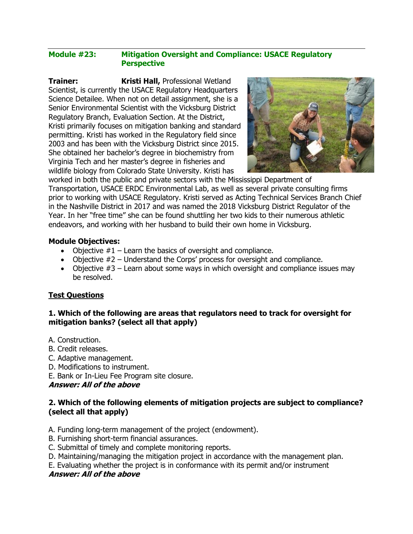#### **Module #23: Mitigation Oversight and Compliance: USACE Regulatory Perspective**

**Trainer: Kristi Hall,** Professional Wetland Scientist, is currently the USACE Regulatory Headquarters Science Detailee. When not on detail assignment, she is a Senior Environmental Scientist with the Vicksburg District Regulatory Branch, Evaluation Section. At the District, Kristi primarily focuses on mitigation banking and standard permitting. Kristi has worked in the Regulatory field since 2003 and has been with the Vicksburg District since 2015. She obtained her bachelor's degree in biochemistry from Virginia Tech and her master's degree in fisheries and wildlife biology from Colorado State University. Kristi has



worked in both the public and private sectors with the Mississippi Department of Transportation, USACE ERDC Environmental Lab, as well as several private consulting firms prior to working with USACE Regulatory. Kristi served as Acting Technical Services Branch Chief in the Nashville District in 2017 and was named the 2018 Vicksburg District Regulator of the Year. In her "free time" she can be found shuttling her two kids to their numerous athletic endeavors, and working with her husband to build their own home in Vicksburg.

#### **Module Objectives:**

- Objective  $#1$  Learn the basics of oversight and compliance.
- Objective  $#2$  Understand the Corps' process for oversight and compliance.
- Objective  $#3$  Learn about some ways in which oversight and compliance issues may be resolved.

#### **Test Questions**

#### **1. Which of the following are areas that regulators need to track for oversight for mitigation banks? (select all that apply)**

- A. Construction.
- B. Credit releases.
- C. Adaptive management.
- D. Modifications to instrument.
- E. Bank or In-Lieu Fee Program site closure.

**Answer: All of the above**

#### **2. Which of the following elements of mitigation projects are subject to compliance? (select all that apply)**

- A. Funding long-term management of the project (endowment).
- B. Furnishing short-term financial assurances.
- C. Submittal of timely and complete monitoring reports.
- D. Maintaining/managing the mitigation project in accordance with the management plan.
- E. Evaluating whether the project is in conformance with its permit and/or instrument **Answer: All of the above**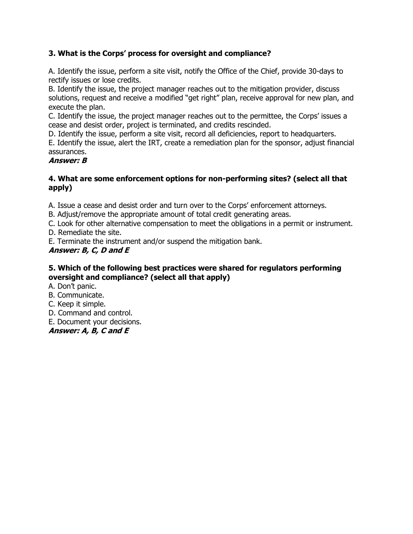### **3. What is the Corps' process for oversight and compliance?**

A. Identify the issue, perform a site visit, notify the Office of the Chief, provide 30-days to rectify issues or lose credits.

B. Identify the issue, the project manager reaches out to the mitigation provider, discuss solutions, request and receive a modified "get right" plan, receive approval for new plan, and execute the plan.

C. Identify the issue, the project manager reaches out to the permittee, the Corps' issues a cease and desist order, project is terminated, and credits rescinded.

D. Identify the issue, perform a site visit, record all deficiencies, report to headquarters.

E. Identify the issue, alert the IRT, create a remediation plan for the sponsor, adjust financial assurances.

#### **Answer: B**

#### **4. What are some enforcement options for non-performing sites? (select all that apply)**

A. Issue a cease and desist order and turn over to the Corps' enforcement attorneys.

B. Adjust/remove the appropriate amount of total credit generating areas.

C. Look for other alternative compensation to meet the obligations in a permit or instrument.

D. Remediate the site.

E. Terminate the instrument and/or suspend the mitigation bank.

### **Answer: B, C, D and E**

#### **5. Which of the following best practices were shared for regulators performing oversight and compliance? (select all that apply)**

A. Don't panic.

B. Communicate.

C. Keep it simple.

D. Command and control.

E. Document your decisions.

#### **Answer: A, B, C and E**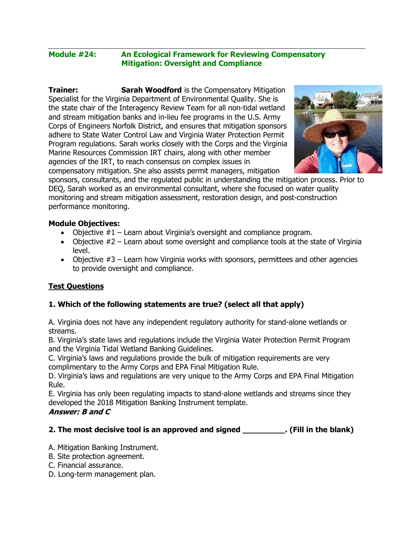#### **Module #24: An Ecological Framework for Reviewing Compensatory Mitigation: Oversight and Compliance**

**Trainer: Sarah Woodford** is the Compensatory Mitigation Specialist for the Virginia Department of Environmental Quality. She is the state chair of the Interagency Review Team for all non-tidal wetland and stream mitigation banks and in-lieu fee programs in the U.S. Army Corps of Engineers Norfolk District, and ensures that mitigation sponsors adhere to State Water Control Law and Virginia Water Protection Permit Program regulations. Sarah works closely with the Corps and the Virginia Marine Resources Commission IRT chairs, along with other member agencies of the IRT, to reach consensus on complex issues in compensatory mitigation. She also assists permit managers, mitigation



sponsors, consultants, and the regulated public in understanding the mitigation process. Prior to DEQ, Sarah worked as an environmental consultant, where she focused on water quality monitoring and stream mitigation assessment, restoration design, and post-construction performance monitoring.

#### **Module Objectives:**

- Objective  $#1$  Learn about Virginia's oversight and compliance program.
- Objective  $#2$  Learn about some oversight and compliance tools at the state of Virginia level.
- Objective #3 Learn how Virginia works with sponsors, permittees and other agencies to provide oversight and compliance.

#### **Test Questions**

#### **1. Which of the following statements are true? (select all that apply)**

A. Virginia does not have any independent regulatory authority for stand-alone wetlands or streams.

B. Virginia's state laws and regulations include the Virginia Water Protection Permit Program and the Virginia Tidal Wetland Banking Guidelines.

C. Virginia's laws and regulations provide the bulk of mitigation requirements are very complimentary to the Army Corps and EPA Final Mitigation Rule.

D. Virginia's laws and regulations are very unique to the Army Corps and EPA Final Mitigation Rule.

E. Virginia has only been regulating impacts to stand-alone wetlands and streams since they developed the 2018 Mitigation Banking Instrument template. **Answer: B and C**

#### **2. The most decisive tool is an approved and signed \_\_\_\_\_\_\_\_\_. (Fill in the blank)**

A. Mitigation Banking Instrument.

- B. Site protection agreement.
- C. Financial assurance.
- D. Long-term management plan.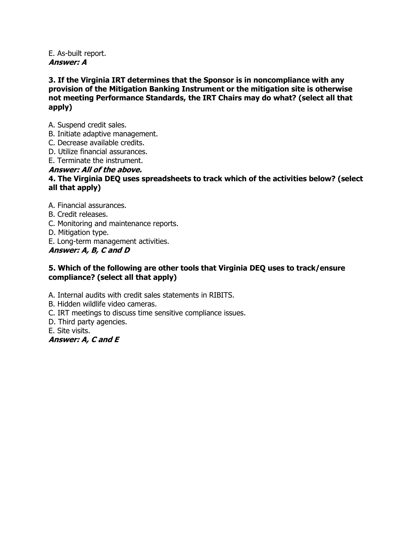E. As-built report. **Answer: A**

**3. If the Virginia IRT determines that the Sponsor is in noncompliance with any provision of the Mitigation Banking Instrument or the mitigation site is otherwise not meeting Performance Standards, the IRT Chairs may do what? (select all that apply)**

- A. Suspend credit sales.
- B. Initiate adaptive management.
- C. Decrease available credits.
- D. Utilize financial assurances.
- E. Terminate the instrument.

#### **Answer: All of the above.**

#### **4. The Virginia DEQ uses spreadsheets to track which of the activities below? (select all that apply)**

- A. Financial assurances.
- B. Credit releases.
- C. Monitoring and maintenance reports.
- D. Mitigation type.
- E. Long-term management activities.

#### **Answer: A, B, C and D**

#### **5. Which of the following are other tools that Virginia DEQ uses to track/ensure compliance? (select all that apply)**

- A. Internal audits with credit sales statements in RIBITS.
- B. Hidden wildlife video cameras.
- C. IRT meetings to discuss time sensitive compliance issues.
- D. Third party agencies.
- E. Site visits.

**Answer: A, C and E**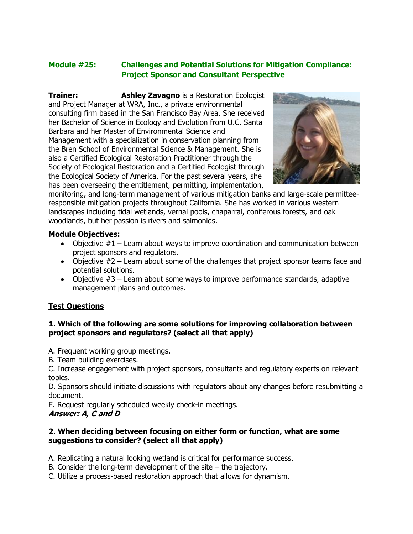### **Module #25: Challenges and Potential Solutions for Mitigation Compliance: Project Sponsor and Consultant Perspective**

**Trainer: Ashley Zavagno** is a Restoration Ecologist and Project Manager at WRA, Inc., a private environmental consulting firm based in the San Francisco Bay Area. She received her Bachelor of Science in Ecology and Evolution from U.C. Santa Barbara and her Master of Environmental Science and Management with a specialization in conservation planning from the Bren School of Environmental Science & Management. She is also a Certified Ecological Restoration Practitioner through the Society of Ecological Restoration and a Certified Ecologist through the Ecological Society of America. For the past several years, she has been overseeing the entitlement, permitting, implementation,



monitoring, and long-term management of various mitigation banks and large-scale permitteeresponsible mitigation projects throughout California. She has worked in various western landscapes including tidal wetlands, vernal pools, chaparral, coniferous forests, and oak woodlands, but her passion is rivers and salmonids.

#### **Module Objectives:**

- Objective  $#1$  Learn about ways to improve coordination and communication between project sponsors and regulators.
- Objective  $#2$  Learn about some of the challenges that project sponsor teams face and potential solutions.
- Objective  $#3$  Learn about some ways to improve performance standards, adaptive management plans and outcomes.

#### **Test Questions**

#### **1. Which of the following are some solutions for improving collaboration between project sponsors and regulators? (select all that apply)**

A. Frequent working group meetings.

B. Team building exercises.

C. Increase engagement with project sponsors, consultants and regulatory experts on relevant topics.

D. Sponsors should initiate discussions with regulators about any changes before resubmitting a document.

E. Request regularly scheduled weekly check-in meetings.

#### **Answer: A, C and D**

#### **2. When deciding between focusing on either form or function, what are some suggestions to consider? (select all that apply)**

A. Replicating a natural looking wetland is critical for performance success.

- B. Consider the long-term development of the site the trajectory.
- C. Utilize a process-based restoration approach that allows for dynamism.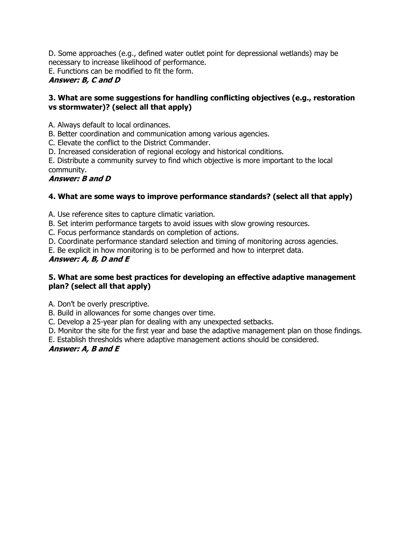D. Some approaches (e.g., defined water outlet point for depressional wetlands) may be necessary to increase likelihood of performance. E. Functions can be modified to fit the form. **Answer: B, C and D**

#### **3. What are some suggestions for handling conflicting objectives (e.g., restoration vs stormwater)? (select all that apply)**

A. Always default to local ordinances.

B. Better coordination and communication among various agencies.

C. Elevate the conflict to the District Commander.

D. Increased consideration of regional ecology and historical conditions.

E. Distribute a community survey to find which objective is more important to the local community.

### **Answer: B and D**

### **4. What are some ways to improve performance standards? (select all that apply)**

A. Use reference sites to capture climatic variation.

B. Set interim performance targets to avoid issues with slow growing resources.

C. Focus performance standards on completion of actions.

D. Coordinate performance standard selection and timing of monitoring across agencies.

E. Be explicit in how monitoring is to be performed and how to interpret data.

### **Answer: A, B, D and E**

### **5. What are some best practices for developing an effective adaptive management plan? (select all that apply)**

A. Don't be overly prescriptive.

B. Build in allowances for some changes over time.

C. Develop a 25-year plan for dealing with any unexpected setbacks.

D. Monitor the site for the first year and base the adaptive management plan on those findings.

E. Establish thresholds where adaptive management actions should be considered.

### **Answer: A, B and E**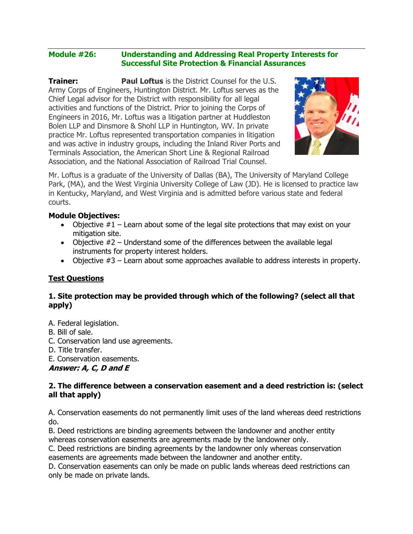#### **Module #26: Understanding and Addressing Real Property Interests for Successful Site Protection & Financial Assurances**

**Trainer:** Paul Loftus is the District Counsel for the U.S. Army Corps of Engineers, Huntington District. Mr. Loftus serves as the Chief Legal advisor for the District with responsibility for all legal activities and functions of the District. Prior to joining the Corps of Engineers in 2016, Mr. Loftus was a litigation partner at Huddleston Bolen LLP and Dinsmore & Shohl LLP in Huntington, WV. In private practice Mr. Loftus represented transportation companies in litigation and was active in industry groups, including the Inland River Ports and Terminals Association, the American Short Line & Regional Railroad Association, and the National Association of Railroad Trial Counsel.



Mr. Loftus is a graduate of the University of Dallas (BA), The University of Maryland College Park, (MA), and the West Virginia University College of Law (JD). He is licensed to practice law in Kentucky, Maryland, and West Virginia and is admitted before various state and federal courts.

#### **Module Objectives:**

- Objective  $#1$  Learn about some of the legal site protections that may exist on your mitigation site.
- Objective  $#2$  Understand some of the differences between the available legal instruments for property interest holders.
- Objective  $#3$  Learn about some approaches available to address interests in property.

#### **Test Questions**

#### **1. Site protection may be provided through which of the following? (select all that apply)**

- A. Federal legislation.
- B. Bill of sale.
- C. Conservation land use agreements.
- D. Title transfer.
- E. Conservation easements.

**Answer: A, C, D and E**

#### **2. The difference between a conservation easement and a deed restriction is: (select all that apply)**

A. Conservation easements do not permanently limit uses of the land whereas deed restrictions do.

B. Deed restrictions are binding agreements between the landowner and another entity whereas conservation easements are agreements made by the landowner only.

C. Deed restrictions are binding agreements by the landowner only whereas conservation easements are agreements made between the landowner and another entity.

D. Conservation easements can only be made on public lands whereas deed restrictions can only be made on private lands.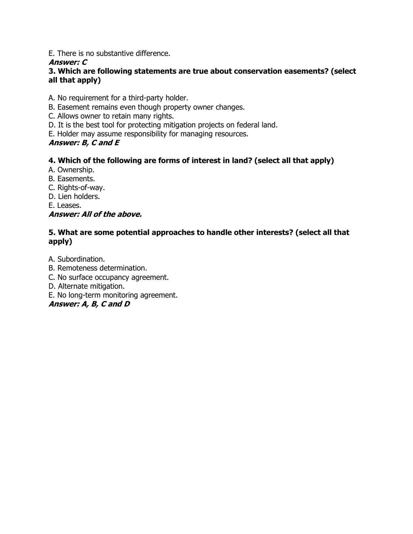E. There is no substantive difference.

### **Answer: C**

### **3. Which are following statements are true about conservation easements? (select all that apply)**

- A. No requirement for a third-party holder.
- B. Easement remains even though property owner changes.
- C. Allows owner to retain many rights.
- D. It is the best tool for protecting mitigation projects on federal land.
- E. Holder may assume responsibility for managing resources.

### **Answer: B, C and E**

### **4. Which of the following are forms of interest in land? (select all that apply)**

- A. Ownership.
- B. Easements.
- C. Rights-of-way.
- D. Lien holders.
- E. Leases.

### **Answer: All of the above.**

### **5. What are some potential approaches to handle other interests? (select all that apply)**

A. Subordination.

- B. Remoteness determination.
- C. No surface occupancy agreement.
- D. Alternate mitigation.
- E. No long-term monitoring agreement.

### **Answer: A, B, C and D**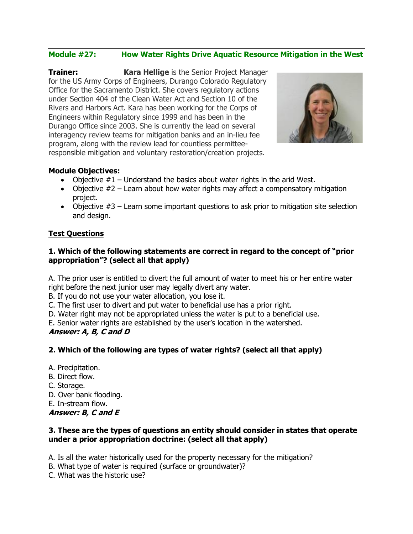### **Module #27: How Water Rights Drive Aquatic Resource Mitigation in the West**

**Trainer: Kara Hellige** is the Senior Project Manager for the US Army Corps of Engineers, Durango Colorado Regulatory Office for the Sacramento District. She covers regulatory actions under Section 404 of the Clean Water Act and Section 10 of the Rivers and Harbors Act. Kara has been working for the Corps of Engineers within Regulatory since 1999 and has been in the Durango Office since 2003. She is currently the lead on several interagency review teams for mitigation banks and an in-lieu fee program, along with the review lead for countless permitteeresponsible mitigation and voluntary restoration/creation projects.



#### **Module Objectives:**

- Objective  $#1$  Understand the basics about water rights in the arid West.
- Objective  $#2$  Learn about how water rights may affect a compensatory mitigation project.
- Objective  $#3$  Learn some important questions to ask prior to mitigation site selection and design.

#### **Test Questions**

#### **1. Which of the following statements are correct in regard to the concept of "prior appropriation"? (select all that apply)**

A. The prior user is entitled to divert the full amount of water to meet his or her entire water right before the next junior user may legally divert any water.

B. If you do not use your water allocation, you lose it.

C. The first user to divert and put water to beneficial use has a prior right.

D. Water right may not be appropriated unless the water is put to a beneficial use.

E. Senior water rights are established by the user's location in the watershed.

#### **Answer: A, B, C and D**

#### **2. Which of the following are types of water rights? (select all that apply)**

A. Precipitation.

- B. Direct flow.
- C. Storage.
- D. Over bank flooding.
- E. In-stream flow.

**Answer: B, C and E**

#### **3. These are the types of questions an entity should consider in states that operate under a prior appropriation doctrine: (select all that apply)**

A. Is all the water historically used for the property necessary for the mitigation?

B. What type of water is required (surface or groundwater)?

C. What was the historic use?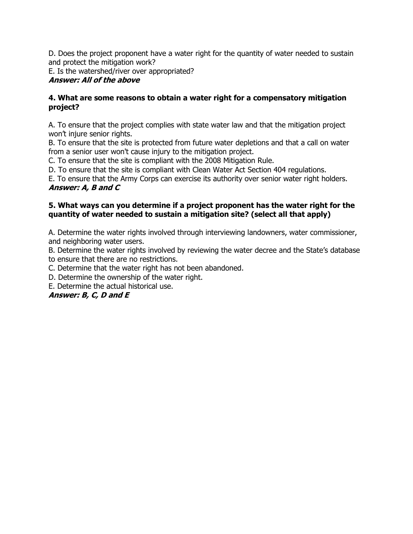D. Does the project proponent have a water right for the quantity of water needed to sustain and protect the mitigation work?

E. Is the watershed/river over appropriated?

### **Answer: All of the above**

#### **4. What are some reasons to obtain a water right for a compensatory mitigation project?**

A. To ensure that the project complies with state water law and that the mitigation project won't injure senior rights.

B. To ensure that the site is protected from future water depletions and that a call on water from a senior user won't cause injury to the mitigation project.

C. To ensure that the site is compliant with the 2008 Mitigation Rule.

D. To ensure that the site is compliant with Clean Water Act Section 404 regulations.

E. To ensure that the Army Corps can exercise its authority over senior water right holders. **Answer: A, B and C**

#### **5. What ways can you determine if a project proponent has the water right for the quantity of water needed to sustain a mitigation site? (select all that apply)**

A. Determine the water rights involved through interviewing landowners, water commissioner, and neighboring water users.

B. Determine the water rights involved by reviewing the water decree and the State's database to ensure that there are no restrictions.

C. Determine that the water right has not been abandoned.

D. Determine the ownership of the water right.

E. Determine the actual historical use.

### **Answer: B, C, D and E**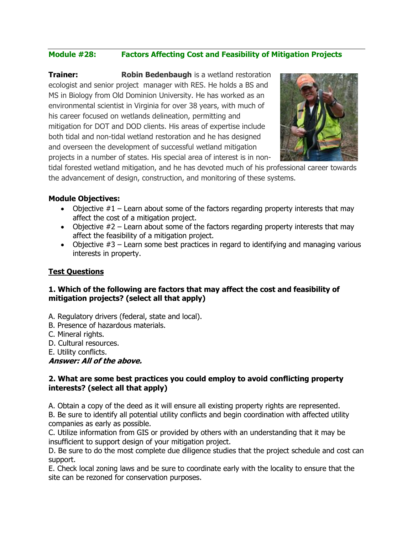### **Module #28: Factors Affecting Cost and Feasibility of Mitigation Projects**

**Trainer: Robin Bedenbaugh** is a wetland restoration ecologist and senior project manager with RES. He holds a BS and MS in Biology from Old Dominion University. He has worked as an environmental scientist in Virginia for over 38 years, with much of his career focused on wetlands delineation, permitting and mitigation for DOT and DOD clients. His areas of expertise include both tidal and non-tidal wetland restoration and he has designed and overseen the development of successful wetland mitigation projects in a number of states. His special area of interest is in non-



tidal forested wetland mitigation, and he has devoted much of his professional career towards the advancement of design, construction, and monitoring of these systems.

#### **Module Objectives:**

- Objective  $#1$  Learn about some of the factors regarding property interests that may affect the cost of a mitigation project.
- Objective  $#2$  Learn about some of the factors regarding property interests that may affect the feasibility of a mitigation project.
- Objective  $#3$  Learn some best practices in regard to identifying and managing various interests in property.

#### **Test Questions**

#### **1. Which of the following are factors that may affect the cost and feasibility of mitigation projects? (select all that apply)**

- A. Regulatory drivers (federal, state and local).
- B. Presence of hazardous materials.
- C. Mineral rights.
- D. Cultural resources.
- E. Utility conflicts.

**Answer: All of the above.**

#### **2. What are some best practices you could employ to avoid conflicting property interests? (select all that apply)**

A. Obtain a copy of the deed as it will ensure all existing property rights are represented.

B. Be sure to identify all potential utility conflicts and begin coordination with affected utility companies as early as possible.

C. Utilize information from GIS or provided by others with an understanding that it may be insufficient to support design of your mitigation project.

D. Be sure to do the most complete due diligence studies that the project schedule and cost can support.

E. Check local zoning laws and be sure to coordinate early with the locality to ensure that the site can be rezoned for conservation purposes.